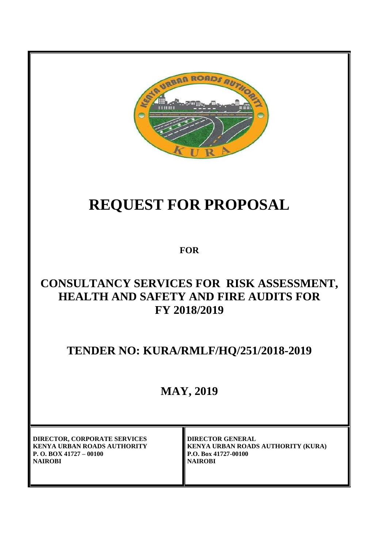

# **REQUEST FOR PROPOSAL**

**FOR**

# **CONSULTANCY SERVICES FOR RISK ASSESSMENT, HEALTH AND SAFETY AND FIRE AUDITS FOR FY 2018/2019**

**TENDER NO: KURA/RMLF/HQ/251/2018-2019**

# **MAY, 2019**

**DIRECTOR, CORPORATE SERVICES KENYA URBAN ROADS AUTHORITY P. O. BOX 41727 – 00100 NAIROBI**

**DIRECTOR GENERAL KENYA URBAN ROADS AUTHORITY (KURA) P.O. Box 41727-00100 NAIROBI**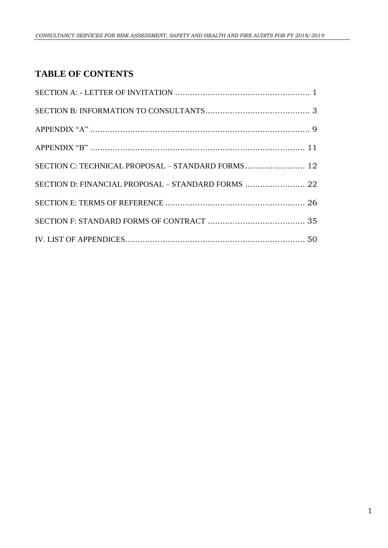# **TABLE OF CONTENTS**

| SECTION C: TECHNICAL PROPOSAL - STANDARD FORMS 12 |  |
|---------------------------------------------------|--|
|                                                   |  |
|                                                   |  |
|                                                   |  |
|                                                   |  |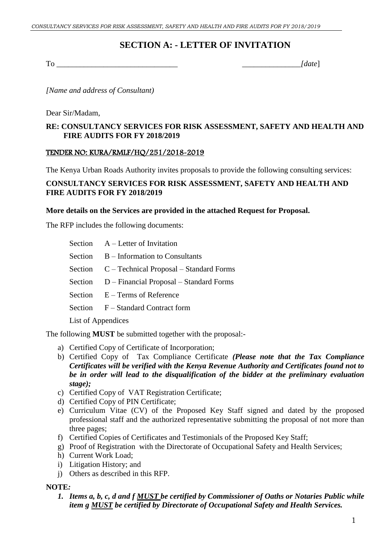## **SECTION A: - LETTER OF INVITATION**

<span id="page-2-0"></span>To \_\_\_\_\_\_\_\_\_\_\_\_\_\_\_\_\_\_\_\_\_\_\_\_\_\_\_\_\_\_\_ *\_\_\_\_\_\_\_\_\_\_\_\_\_\_\_[date*]

*[Name and address of Consultant)*

Dear Sir/Madam,

#### **RE: CONSULTANCY SERVICES FOR RISK ASSESSMENT, SAFETY AND HEALTH AND FIRE AUDITS FOR FY 2018/2019**

#### TENDER NO: KURA/RMLF/HQ/251/2018-2019

The Kenya Urban Roads Authority invites proposals to provide the following consulting services:

#### **CONSULTANCY SERVICES FOR RISK ASSESSMENT, SAFETY AND HEALTH AND FIRE AUDITS FOR FY 2018/2019**

#### **More details on the Services are provided in the attached Request for Proposal.**

The RFP includes the following documents:

- Section A Letter of Invitation
- Section B Information to Consultants
- Section C Technical Proposal Standard Forms
- Section D Financial Proposal Standard Forms
- Section E Terms of Reference
- Section F Standard Contract form
- List of Appendices

The following **MUST** be submitted together with the proposal:-

- a) Certified Copy of Certificate of Incorporation;
- b) Certified Copy of Tax Compliance Certificate *(Please note that the Tax Compliance Certificates will be verified with the Kenya Revenue Authority and Certificates found not to be in order will lead to the disqualification of the bidder at the preliminary evaluation stage);*
- c) Certified Copy of VAT Registration Certificate;
- d) Certified Copy of PIN Certificate;
- e) Curriculum Vitae (CV) of the Proposed Key Staff signed and dated by the proposed professional staff and the authorized representative submitting the proposal of not more than three pages;
- f) Certified Copies of Certificates and Testimonials of the Proposed Key Staff;
- g) Proof of Registration with the Directorate of Occupational Safety and Health Services;
- h) Current Work Load;
- i) Litigation History; and
- j) Others as described in this RFP.

#### **NOTE***:*

*1. Items a, b, c, d and f MUST be certified by Commissioner of Oaths or Notaries Public while item g MUST be certified by Directorate of Occupational Safety and Health Services.*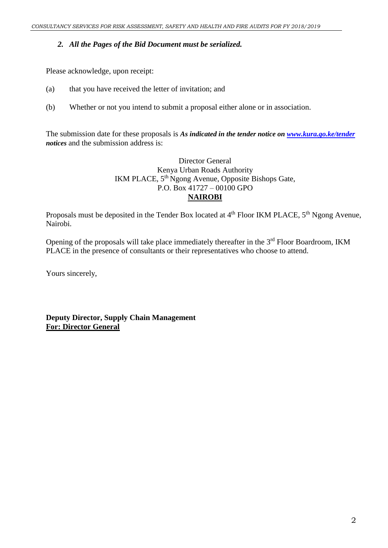#### *2. All the Pages of the Bid Document must be serialized.*

Please acknowledge, upon receipt:

- (a) that you have received the letter of invitation; and
- (b) Whether or not you intend to submit a proposal either alone or in association.

The submission date for these proposals is *As indicated in the tender notice on [www.kura.go.ke/tender](http://www.kura.go.ke/tender) notices* and the submission address is:

#### Director General Kenya Urban Roads Authority IKM PLACE, 5<sup>th</sup> Ngong Avenue, Opposite Bishops Gate, P.O. Box 41727 – 00100 GPO **NAIROBI**

Proposals must be deposited in the Tender Box located at 4<sup>th</sup> Floor IKM PLACE, 5<sup>th</sup> Ngong Avenue, Nairobi.

Opening of the proposals will take place immediately thereafter in the 3<sup>rd</sup> Floor Boardroom, IKM PLACE in the presence of consultants or their representatives who choose to attend.

Yours sincerely,

**Deputy Director, Supply Chain Management For: Director General**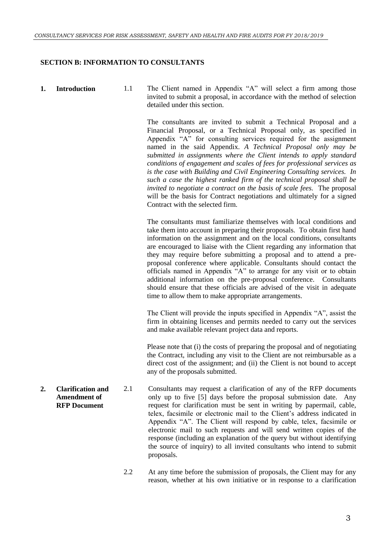#### <span id="page-4-0"></span>**SECTION B: INFORMATION TO CONSULTANTS**

**1. Introduction** 1.1 The Client named in Appendix "A" will select a firm among those invited to submit a proposal, in accordance with the method of selection detailed under this section.

> The consultants are invited to submit a Technical Proposal and a Financial Proposal, or a Technical Proposal only, as specified in Appendix "A" for consulting services required for the assignment named in the said Appendix. *A Technical Proposal only may be submitted in assignments where the Client intends to apply standard conditions of engagement and scales of fees for professional services as is the case with Building and Civil Engineering Consulting services. In such a case the highest ranked firm of the technical proposal shall be invited to negotiate a contract on the basis of scale fees.* The proposal will be the basis for Contract negotiations and ultimately for a signed Contract with the selected firm.

> The consultants must familiarize themselves with local conditions and take them into account in preparing their proposals. To obtain first hand information on the assignment and on the local conditions, consultants are encouraged to liaise with the Client regarding any information that they may require before submitting a proposal and to attend a preproposal conference where applicable. Consultants should contact the officials named in Appendix "A" to arrange for any visit or to obtain additional information on the pre-proposal conference. Consultants should ensure that these officials are advised of the visit in adequate time to allow them to make appropriate arrangements.

> The Client will provide the inputs specified in Appendix "A", assist the firm in obtaining licenses and permits needed to carry out the services and make available relevant project data and reports.

> Please note that (i) the costs of preparing the proposal and of negotiating the Contract, including any visit to the Client are not reimbursable as a direct cost of the assignment; and (ii) the Client is not bound to accept any of the proposals submitted.

- **2. Clarification and Amendment of RFP Document** 2.1 Consultants may request a clarification of any of the RFP documents only up to five [5] days before the proposal submission date. Any request for clarification must be sent in writing by papermail, cable, telex, facsimile or electronic mail to the Client's address indicated in Appendix "A". The Client will respond by cable, telex, facsimile or electronic mail to such requests and will send written copies of the response (including an explanation of the query but without identifying the source of inquiry) to all invited consultants who intend to submit proposals.
	- 2.2 At any time before the submission of proposals, the Client may for any reason, whether at his own initiative or in response to a clarification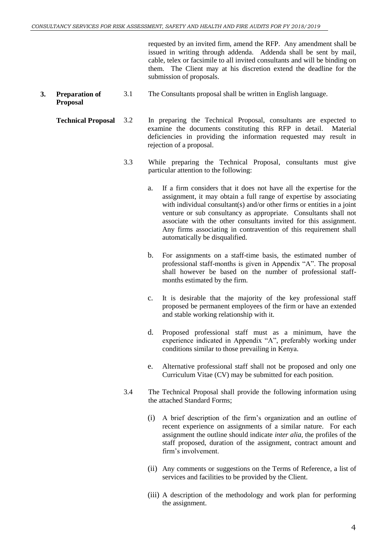requested by an invited firm, amend the RFP. Any amendment shall be issued in writing through addenda. Addenda shall be sent by mail, cable, telex or facsimile to all invited consultants and will be binding on them. The Client may at his discretion extend the deadline for the submission of proposals.

- **3. Preparation of Proposal**  3.1 The Consultants proposal shall be written in English language.
	- **Technical Proposal** 3.2 In preparing the Technical Proposal, consultants are expected to examine the documents constituting this RFP in detail. Material deficiencies in providing the information requested may result in rejection of a proposal.
		- 3.3 While preparing the Technical Proposal, consultants must give particular attention to the following:
			- a. If a firm considers that it does not have all the expertise for the assignment, it may obtain a full range of expertise by associating with individual consultant(s) and/or other firms or entities in a joint venture or sub consultancy as appropriate. Consultants shall not associate with the other consultants invited for this assignment. Any firms associating in contravention of this requirement shall automatically be disqualified.
			- b. For assignments on a staff-time basis, the estimated number of professional staff-months is given in Appendix "A". The proposal shall however be based on the number of professional staffmonths estimated by the firm.
			- c. It is desirable that the majority of the key professional staff proposed be permanent employees of the firm or have an extended and stable working relationship with it.
			- d. Proposed professional staff must as a minimum, have the experience indicated in Appendix "A", preferably working under conditions similar to those prevailing in Kenya.
			- e. Alternative professional staff shall not be proposed and only one Curriculum Vitae (CV) may be submitted for each position.
		- 3.4 The Technical Proposal shall provide the following information using the attached Standard Forms;
			- (i) A brief description of the firm's organization and an outline of recent experience on assignments of a similar nature. For each assignment the outline should indicate *inter alia,* the profiles of the staff proposed, duration of the assignment, contract amount and firm's involvement.
			- (ii) Any comments or suggestions on the Terms of Reference, a list of services and facilities to be provided by the Client.
			- (iii) A description of the methodology and work plan for performing the assignment.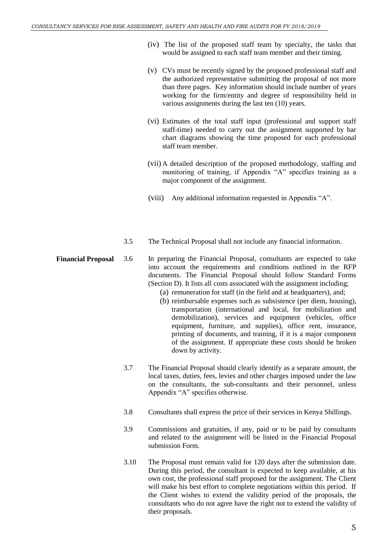- (iv) The list of the proposed staff team by specialty, the tasks that would be assigned to each staff team member and their timing.
- (v) CVs must be recently signed by the proposed professional staff and the authorized representative submitting the proposal of not more than three pages. Key information should include number of years working for the firm/entity and degree of responsibility held in various assignments during the last ten (10) years.
- (vi) Estimates of the total staff input (professional and support staff staff-time) needed to carry out the assignment supported by bar chart diagrams showing the time proposed for each professional staff team member.
- (vii) A detailed description of the proposed methodology, staffing and monitoring of training, if Appendix "A" specifies training as a major component of the assignment.
- (viii) Any additional information requested in Appendix "A".
- 3.5 The Technical Proposal shall not include any financial information.
- **Financial Proposal** 3.6 In preparing the Financial Proposal, consultants are expected to take into account the requirements and conditions outlined in the RFP documents. The Financial Proposal should follow Standard Forms (Section D). It lists all costs associated with the assignment including;
	- (a) remuneration for staff (in the field and at headquarters), and;
	- (b) reimbursable expenses such as subsistence (per diem, housing), transportation (international and local, for mobilization and demobilization), services and equipment (vehicles, office equipment, furniture, and supplies), office rent, insurance, printing of documents, and training, if it is a major component of the assignment. If appropriate these costs should be broken down by activity.
	- 3.7 The Financial Proposal should clearly identify as a separate amount, the local taxes, duties, fees, levies and other charges imposed under the law on the consultants, the sub-consultants and their personnel, unless Appendix "A" specifies otherwise.
	- 3.8 Consultants shall express the price of their services in Kenya Shillings.
	- 3.9 Commissions and gratuities, if any, paid or to be paid by consultants and related to the assignment will be listed in the Financial Proposal submission Form.
	- 3.10 The Proposal must remain valid for 120 days after the submission date. During this period, the consultant is expected to keep available, at his own cost, the professional staff proposed for the assignment. The Client will make his best effort to complete negotiations within this period. If the Client wishes to extend the validity period of the proposals, the consultants who do not agree have the right not to extend the validity of their proposals.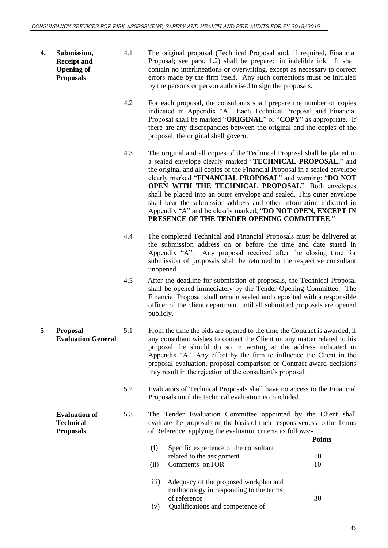- **4. Submission, Receipt and Opening of Proposals**
- 4.1 The original proposal (Technical Proposal and, if required, Financial Proposal; see para. 1.2) shall be prepared in indelible ink. It shall contain no interlineations or overwriting, except as necessary to correct errors made by the firm itself. Any such corrections must be initialed by the persons or person authorised to sign the proposals.
- 4.2 For each proposal, the consultants shall prepare the number of copies indicated in Appendix "A". Each Technical Proposal and Financial Proposal shall be marked "**ORIGINAL**" or "**COPY**" as appropriate. If there are any discrepancies between the original and the copies of the proposal, the original shall govern.
- 4.3 The original and all copies of the Technical Proposal shall be placed in a sealed envelope clearly marked "**TECHNICAL PROPOSAL**," and the original and all copies of the Financial Proposal in a sealed envelope clearly marked "**FINANCIAL PROPOSAL**" and warning: "**DO NOT OPEN WITH THE TECHNICAL PROPOSAL**". Both envelopes shall be placed into an outer envelope and sealed. This outer envelope shall bear the submission address and other information indicated in Appendix "A" and be clearly marked, "**DO NOT OPEN, EXCEPT IN PRESENCE OF THE TENDER OPENING COMMITTEE**."
- 4.4 The completed Technical and Financial Proposals must be delivered at the submission address on or before the time and date stated in Appendix "A". Any proposal received after the closing time for submission of proposals shall be returned to the respective consultant unopened.
- 4.5 After the deadline for submission of proposals, the Technical Proposal shall be opened immediately by the Tender Opening Committee. The Financial Proposal shall remain sealed and deposited with a responsible officer of the client department until all submitted proposals are opened publicly.
- **5 Proposal Evaluation General** 5.1 From the time the bids are opened to the time the Contract is awarded, if any consultant wishes to contact the Client on any matter related to his proposal, he should do so in writing at the address indicated in Appendix "A". Any effort by the firm to influence the Client in the proposal evaluation, proposal comparison or Contract award decisions may result in the rejection of the consultant's proposal.
	- 5.2 Evaluators of Technical Proposals shall have no access to the Financial Proposals until the technical evaluation is concluded.
	- **Evaluation of**  5.3 The Tender Evaluation Committee appointed by the Client shall evaluate the proposals on the basis of their responsiveness to the Terms of Reference, applying the evaluation criteria as follows:-

|                    |                                                                                 | Points |
|--------------------|---------------------------------------------------------------------------------|--------|
| (i)                | Specific experience of the consultant                                           |        |
|                    | related to the assignment                                                       | 10     |
| (ii)               | Comments on TOR                                                                 | 10     |
| $\overline{111}$ ) | Adequacy of the proposed workplan and<br>methodology in responding to the terms |        |
|                    | of reference                                                                    | 30     |
| iv)                | Qualifications and competence of                                                |        |

**Technical Proposals**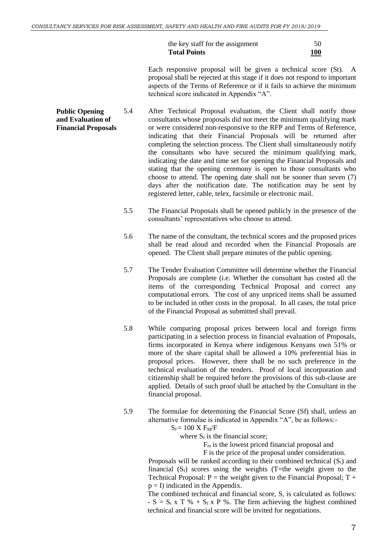the key staff for the assignment 50 **Total Points 100**

Each responsive proposal will be given a technical score (St). A proposal shall be rejected at this stage if it does not respond to important aspects of the Terms of Reference or if it fails to achieve the minimum technical score indicated in Appendix "A".

- **Public Opening and Evaluation of Financial Proposals** 5.4 After Technical Proposal evaluation, the Client shall notify those consultants whose proposals did not meet the minimum qualifying mark or were considered non-responsive to the RFP and Terms of Reference, indicating that their Financial Proposals will be returned after completing the selection process. The Client shall simultaneously notify the consultants who have secured the minimum qualifying mark, indicating the date and time set for opening the Financial Proposals and stating that the opening ceremony is open to those consultants who choose to attend. The opening date shall not be sooner than seven (7) days after the notification date. The notification may be sent by registered letter, cable, telex, facsimile or electronic mail.
	- 5.5 The Financial Proposals shall be opened publicly in the presence of the consultants' representatives who choose to attend.
	- 5.6 The name of the consultant, the technical scores and the proposed prices shall be read aloud and recorded when the Financial Proposals are opened. The Client shall prepare minutes of the public opening.
	- 5.7 The Tender Evaluation Committee will determine whether the Financial Proposals are complete (i.e. Whether the consultant has costed all the items of the corresponding Technical Proposal and correct any computational errors. The cost of any unpriced items shall be assumed to be included in other costs in the proposal. In all cases, the total price of the Financial Proposal as submitted shall prevail.
	- 5.8 While comparing proposal prices between local and foreign firms participating in a selection process in financial evaluation of Proposals, firms incorporated in Kenya where indigenous Kenyans own 51% or more of the share capital shall be allowed a 10% preferential bias in proposal prices. However, there shall be no such preference in the technical evaluation of the tenders. Proof of local incorporation and citizenship shall be required before the provisions of this sub-clause are applied. Details of such proof shall be attached by the Consultant in the financial proposal.
	- 5.9 The formulae for determining the Financial Score (Sf) shall, unless an alternative formulae is indicated in Appendix "A", be as follows:-

 $S_f = 100 \text{ X } F_M/F$ 

where  $S_f$  is the financial score;

 $F<sub>m</sub>$  is the lowest priced financial proposal and

F is the price of the proposal under consideration.

Proposals will be ranked according to their combined technical  $(S_t)$  and financial  $(S_f)$  scores using the weights (T=the weight given to the Technical Proposal:  $P =$  the weight given to the Financial Proposal;  $T +$  $p = I$ ) indicated in the Appendix.

The combined technical and financial score, S, is calculated as follows: -  $S = S_t$  x T % +  $S_f$  x P %. The firm achieving the highest combined technical and financial score will be invited for negotiations.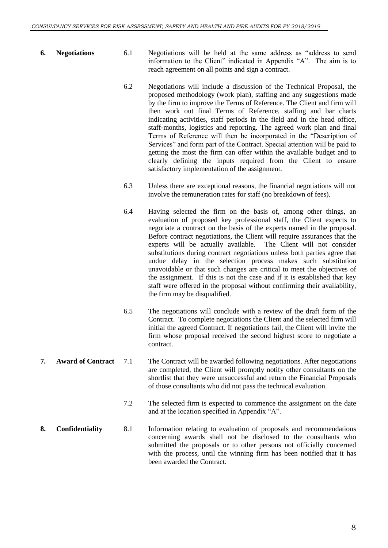- **6. Negotiations** 6.1 Negotiations will be held at the same address as "address to send information to the Client" indicated in Appendix "A". The aim is to reach agreement on all points and sign a contract.
	- 6.2 Negotiations will include a discussion of the Technical Proposal, the proposed methodology (work plan), staffing and any suggestions made by the firm to improve the Terms of Reference. The Client and firm will then work out final Terms of Reference, staffing and bar charts indicating activities, staff periods in the field and in the head office, staff-months, logistics and reporting. The agreed work plan and final Terms of Reference will then be incorporated in the "Description of Services" and form part of the Contract. Special attention will be paid to getting the most the firm can offer within the available budget and to clearly defining the inputs required from the Client to ensure satisfactory implementation of the assignment.
	- 6.3 Unless there are exceptional reasons, the financial negotiations will not involve the remuneration rates for staff (no breakdown of fees).
	- 6.4 Having selected the firm on the basis of, among other things, an evaluation of proposed key professional staff, the Client expects to negotiate a contract on the basis of the experts named in the proposal. Before contract negotiations, the Client will require assurances that the experts will be actually available. The Client will not consider substitutions during contract negotiations unless both parties agree that undue delay in the selection process makes such substitution unavoidable or that such changes are critical to meet the objectives of the assignment. If this is not the case and if it is established that key staff were offered in the proposal without confirming their availability, the firm may be disqualified.
	- 6.5 The negotiations will conclude with a review of the draft form of the Contract. To complete negotiations the Client and the selected firm will initial the agreed Contract. If negotiations fail, the Client will invite the firm whose proposal received the second highest score to negotiate a contract.
- **7. Award of Contract** 7.1 The Contract will be awarded following negotiations. After negotiations are completed, the Client will promptly notify other consultants on the shortlist that they were unsuccessful and return the Financial Proposals of those consultants who did not pass the technical evaluation.
	- 7.2 The selected firm is expected to commence the assignment on the date and at the location specified in Appendix "A".
- **8. Confidentiality** 8.1 Information relating to evaluation of proposals and recommendations concerning awards shall not be disclosed to the consultants who submitted the proposals or to other persons not officially concerned with the process, until the winning firm has been notified that it has been awarded the Contract.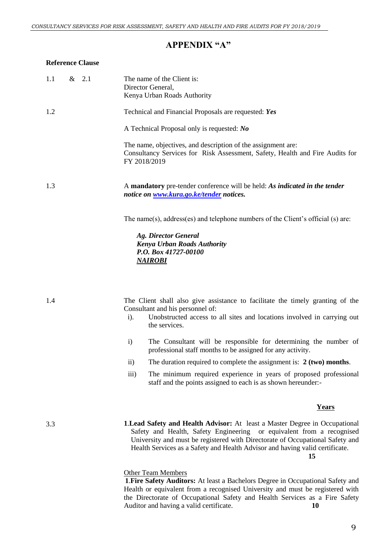#### **APPENDIX "A"**

#### <span id="page-10-0"></span>**Reference Clause**

| 1.1 | $\&$ 2.1 | The name of the Client is:<br>Director General,<br>Kenya Urban Roads Authority                                                                               |
|-----|----------|--------------------------------------------------------------------------------------------------------------------------------------------------------------|
| 1.2 |          | Technical and Financial Proposals are requested: Yes                                                                                                         |
|     |          | A Technical Proposal only is requested: No                                                                                                                   |
|     |          | The name, objectives, and description of the assignment are:<br>Consultancy Services for Risk Assessment, Safety, Health and Fire Audits for<br>FY 2018/2019 |
| 1.3 |          | A mandatory pre-tender conference will be held: As indicated in the tender<br>notice on www.kura.go.ke/tender notices.                                       |
|     |          | The name(s), address(es) and telephone numbers of the Client's official (s) are:                                                                             |
|     |          | <b>Ag. Director General</b><br><b>Kenya Urban Roads Authority</b><br>P.O. Box 41727-00100<br><b>NAIROBI</b>                                                  |
|     |          |                                                                                                                                                              |
| 1.4 |          | The Client shall also give assistance to facilitate the timely granting of the<br>Consultant and his personnel of:                                           |
|     |          | Unobstructed access to all sites and locations involved in carrying out<br>$i$ ).<br>the services.                                                           |

- i) The Consultant will be responsible for determining the number of professional staff months to be assigned for any activity.
- ii) The duration required to complete the assignment is: **2 (two) months**.
- iii) The minimum required experience in years of proposed professional staff and the points assigned to each is as shown hereunder:-

#### **Years**

3.3

**1**.**Lead Safety and Health Advisor:** At least a Master Degree in Occupational Safety and Health, Safety Engineering or equivalent from a recognised University and must be registered with Directorate of Occupational Safety and Health Services as a Safety and Health Advisor and having valid certificate. **15** 

#### Other Team Members

**1**.**Fire Safety Auditors:** At least a Bachelors Degree in Occupational Safety and Health or equivalent from a recognised University and must be registered with the Directorate of Occupational Safety and Health Services as a Fire Safety Auditor and having a valid certificate. 10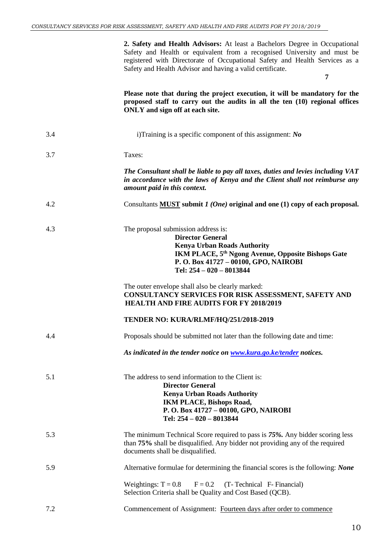**2. Safety and Health Advisors:** At least a Bachelors Degree in Occupational Safety and Health or equivalent from a recognised University and must be registered with Directorate of Occupational Safety and Health Services as a Safety and Health Advisor and having a valid certificate.

 **7**

**Please note that during the project execution, it will be mandatory for the proposed staff to carry out the audits in all the ten (10) regional offices ONLY and sign off at each site.** 

| 3.4 | i)Training is a specific component of this assignment: $N\theta$                                                                                                                                                                           |
|-----|--------------------------------------------------------------------------------------------------------------------------------------------------------------------------------------------------------------------------------------------|
| 3.7 | Taxes:                                                                                                                                                                                                                                     |
|     | The Consultant shall be liable to pay all taxes, duties and levies including VAT<br>in accordance with the laws of Kenya and the Client shall not reimburse any<br>amount paid in this context.                                            |
| 4.2 | Consultants MUST submit $1 (One)$ original and one (1) copy of each proposal.                                                                                                                                                              |
| 4.3 | The proposal submission address is:<br><b>Director General</b><br><b>Kenya Urban Roads Authority</b><br>IKM PLACE, 5 <sup>th</sup> Ngong Avenue, Opposite Bishops Gate<br>P.O. Box 41727 - 00100, GPO, NAIROBI<br>Tel: 254 - 020 - 8013844 |
|     | The outer envelope shall also be clearly marked:<br>CONSULTANCY SERVICES FOR RISK ASSESSMENT, SAFETY AND<br><b>HEALTH AND FIRE AUDITS FOR FY 2018/2019</b>                                                                                 |
|     | TENDER NO: KURA/RLMF/HQ/251/2018-2019                                                                                                                                                                                                      |
| 4.4 | Proposals should be submitted not later than the following date and time:                                                                                                                                                                  |
|     | As indicated in the tender notice on www.kura.go.ke/tender notices.                                                                                                                                                                        |
| 5.1 | The address to send information to the Client is:<br><b>Director General</b><br><b>Kenya Urban Roads Authority</b><br><b>IKM PLACE, Bishops Road,</b><br>P.O. Box 41727 - 00100, GPO, NAIROBI<br>Tel: 254 - 020 - 8013844                  |
| 5.3 | The minimum Technical Score required to pass is 75%. Any bidder scoring less<br>than 75% shall be disqualified. Any bidder not providing any of the required<br>documents shall be disqualified.                                           |
| 5.9 | Alternative formulae for determining the financial scores is the following: None                                                                                                                                                           |
|     | Weightings: $T = 0.8$<br>$F = 0.2$<br>(T-Technical F-Financial)<br>Selection Criteria shall be Quality and Cost Based (QCB).                                                                                                               |
| 7.2 | Commencement of Assignment: Fourteen days after order to commence                                                                                                                                                                          |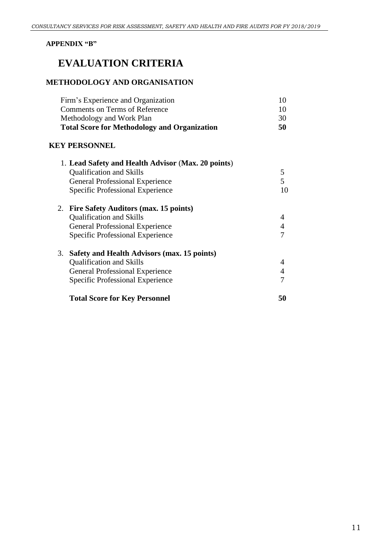#### <span id="page-12-0"></span>**APPENDIX "B"**

# **EVALUATION CRITERIA**

#### **METHODOLOGY AND ORGANISATION**

| Firm's Experience and Organization                  | 10             |
|-----------------------------------------------------|----------------|
| <b>Comments on Terms of Reference</b>               | 10             |
| Methodology and Work Plan                           | 30             |
| <b>Total Score for Methodology and Organization</b> | 50             |
| <b>KEY PERSONNEL</b>                                |                |
| 1. Lead Safety and Health Advisor (Max. 20 points)  |                |
| <b>Qualification and Skills</b>                     | 5              |
| <b>General Professional Experience</b>              | 5              |
| Specific Professional Experience                    | 10             |
| 2. Fire Safety Auditors (max. 15 points)            |                |
| <b>Qualification and Skills</b>                     | 4              |
| <b>General Professional Experience</b>              | $\overline{4}$ |
| Specific Professional Experience                    | 7              |
| 3.<br>Safety and Health Advisors (max. 15 points)   |                |
| <b>Qualification and Skills</b>                     | 4              |
| <b>General Professional Experience</b>              | $\overline{4}$ |
| Specific Professional Experience                    | 7              |
| <b>Total Score for Key Personnel</b>                | 50             |
|                                                     |                |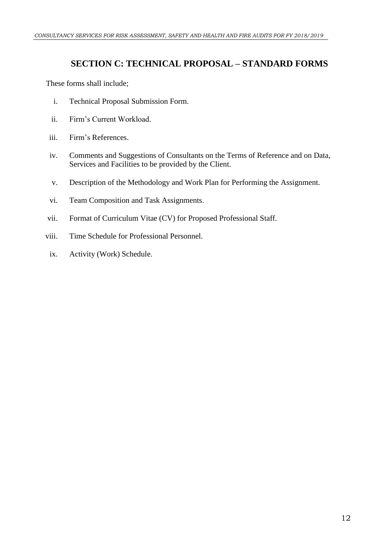# <span id="page-13-0"></span>**SECTION C: TECHNICAL PROPOSAL – STANDARD FORMS**

These forms shall include;

- i. Technical Proposal Submission Form.
- ii. Firm's Current Workload.
- iii. Firm's References.
- iv. Comments and Suggestions of Consultants on the Terms of Reference and on Data, Services and Facilities to be provided by the Client.
- v. Description of the Methodology and Work Plan for Performing the Assignment.
- vi. Team Composition and Task Assignments.
- vii. Format of Curriculum Vitae (CV) for Proposed Professional Staff.
- viii. Time Schedule for Professional Personnel.
	- ix. Activity (Work) Schedule.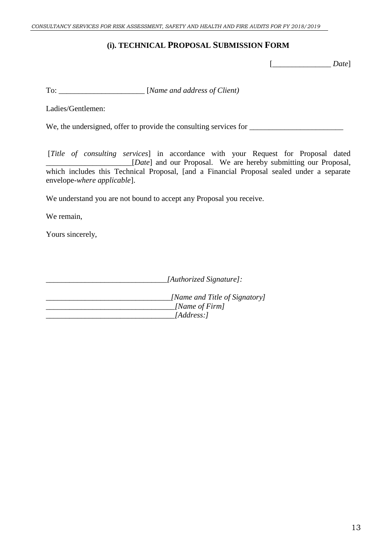### **(i). TECHNICAL PROPOSAL SUBMISSION FORM**

[\_\_\_\_\_\_\_\_\_\_\_\_\_\_\_ *Date*]

To: \_\_\_\_\_\_\_\_\_\_\_\_\_\_\_\_\_\_\_\_\_\_ [*Name and address of Client)*

Ladies/Gentlemen:

We, the undersigned, offer to provide the consulting services for \_\_\_\_\_\_\_\_\_\_\_\_\_\_\_\_\_\_\_\_\_\_\_\_

[*Title of consulting services*] in accordance with your Request for Proposal dated \_\_\_\_\_\_\_\_\_\_\_\_\_\_\_\_\_\_\_\_\_\_[*Date*] and our Proposal. We are hereby submitting our Proposal, which includes this Technical Proposal, [and a Financial Proposal sealed under a separate envelope-*where applicable*].

We understand you are not bound to accept any Proposal you receive.

We remain,

Yours sincerely,

*\_\_\_\_\_\_\_\_\_\_\_\_\_\_\_\_\_\_\_\_\_\_\_\_\_\_\_\_\_\_\_[Authorized Signature]:*

*\_\_\_\_\_\_\_\_\_\_\_\_\_\_\_\_\_\_\_\_\_\_\_\_\_\_\_\_\_\_\_\_[Name and Title of Signatory] \_\_\_\_\_\_\_\_\_\_\_\_\_\_\_\_\_\_\_\_\_\_\_\_\_\_\_\_\_\_\_\_\_[Name of Firm] \_\_\_\_\_\_\_\_\_\_\_\_\_\_\_\_\_\_\_\_\_\_\_\_\_\_\_\_\_\_\_\_\_[Address:]*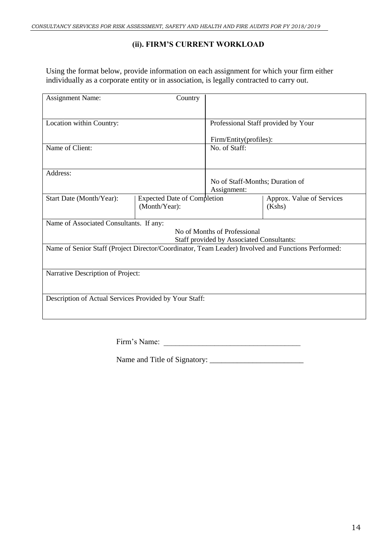### **(ii). FIRM'S CURRENT WORKLOAD**

Using the format below, provide information on each assignment for which your firm either individually as a corporate entity or in association, is legally contracted to carry out.

| <b>Assignment Name:</b>                                                                            | Country                                             |                                                                                  |                                     |
|----------------------------------------------------------------------------------------------------|-----------------------------------------------------|----------------------------------------------------------------------------------|-------------------------------------|
|                                                                                                    |                                                     |                                                                                  |                                     |
| Location within Country:                                                                           |                                                     | Professional Staff provided by Your                                              |                                     |
|                                                                                                    |                                                     | Firm/Entity(profiles):                                                           |                                     |
| Name of Client:                                                                                    |                                                     | No. of Staff:                                                                    |                                     |
|                                                                                                    |                                                     |                                                                                  |                                     |
| Address:                                                                                           |                                                     |                                                                                  |                                     |
|                                                                                                    |                                                     | No of Staff-Months; Duration of<br>Assignment:                                   |                                     |
| Start Date (Month/Year):                                                                           | <b>Expected Date of Completion</b><br>(Month/Year): |                                                                                  | Approx. Value of Services<br>(Kshs) |
| Name of Associated Consultants. If any:                                                            |                                                     |                                                                                  |                                     |
|                                                                                                    |                                                     | No of Months of Professional<br><b>Staff provided by Associated Consultants:</b> |                                     |
| Name of Senior Staff (Project Director/Coordinator, Team Leader) Involved and Functions Performed: |                                                     |                                                                                  |                                     |
|                                                                                                    |                                                     |                                                                                  |                                     |
| Narrative Description of Project:                                                                  |                                                     |                                                                                  |                                     |
|                                                                                                    |                                                     |                                                                                  |                                     |
| Description of Actual Services Provided by Your Staff:                                             |                                                     |                                                                                  |                                     |
|                                                                                                    |                                                     |                                                                                  |                                     |

| Firm's Name: |  |
|--------------|--|
|              |  |

Name and Title of Signatory: \_\_\_\_\_\_\_\_\_\_\_\_\_\_\_\_\_\_\_\_\_\_\_\_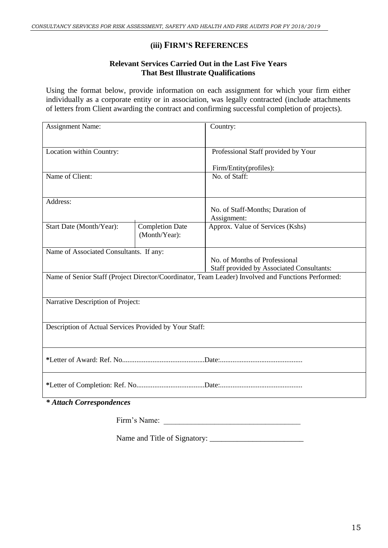#### **(iii) FIRM'S REFERENCES**

#### **Relevant Services Carried Out in the Last Five Years That Best Illustrate Qualifications**

Using the format below, provide information on each assignment for which your firm either individually as a corporate entity or in association, was legally contracted (include attachments of letters from Client awarding the contract and confirming successful completion of projects).

| <b>Assignment Name:</b>                                |                                         | Country:                                                                                           |  |
|--------------------------------------------------------|-----------------------------------------|----------------------------------------------------------------------------------------------------|--|
| Location within Country:                               |                                         | Professional Staff provided by Your                                                                |  |
|                                                        |                                         | Firm/Entity(profiles):                                                                             |  |
| Name of Client:                                        |                                         | No. of Staff:                                                                                      |  |
|                                                        |                                         |                                                                                                    |  |
| Address:                                               |                                         |                                                                                                    |  |
|                                                        |                                         | No. of Staff-Months; Duration of<br>Assignment:                                                    |  |
| Start Date (Month/Year):                               | <b>Completion Date</b><br>(Month/Year): | Approx. Value of Services (Kshs)                                                                   |  |
| Name of Associated Consultants. If any:                |                                         |                                                                                                    |  |
|                                                        |                                         | No. of Months of Professional                                                                      |  |
|                                                        |                                         | <b>Staff provided by Associated Consultants:</b>                                                   |  |
|                                                        |                                         | Name of Senior Staff (Project Director/Coordinator, Team Leader) Involved and Functions Performed: |  |
|                                                        |                                         |                                                                                                    |  |
| Narrative Description of Project:                      |                                         |                                                                                                    |  |
|                                                        |                                         |                                                                                                    |  |
| Description of Actual Services Provided by Your Staff: |                                         |                                                                                                    |  |
|                                                        |                                         |                                                                                                    |  |
|                                                        |                                         |                                                                                                    |  |
|                                                        |                                         |                                                                                                    |  |
|                                                        |                                         |                                                                                                    |  |
| * Attach Correspondences                               |                                         |                                                                                                    |  |

*\* Attach Correspondences*

Firm's Name:

Name and Title of Signatory: \_\_\_\_\_\_\_\_\_\_\_\_\_\_\_\_\_\_\_\_\_\_\_\_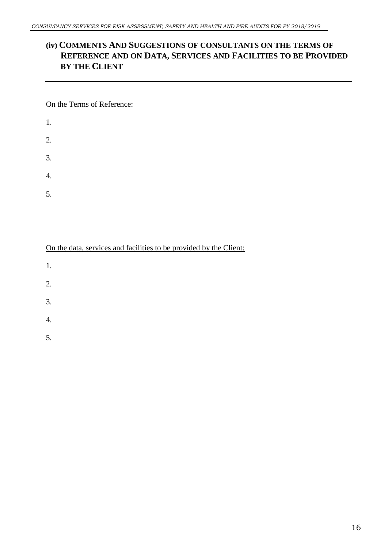## **(iv) COMMENTS AND SUGGESTIONS OF CONSULTANTS ON THE TERMS OF REFERENCE AND ON DATA, SERVICES AND FACILITIES TO BE PROVIDED BY THE CLIENT**

On the Terms of Reference:

- 1. 2.
- 
- 3.
- 4.
- 5.

On the data, services and facilities to be provided by the Client:

- 1.
- 
- 2.
- 3.
- 4.
- 5.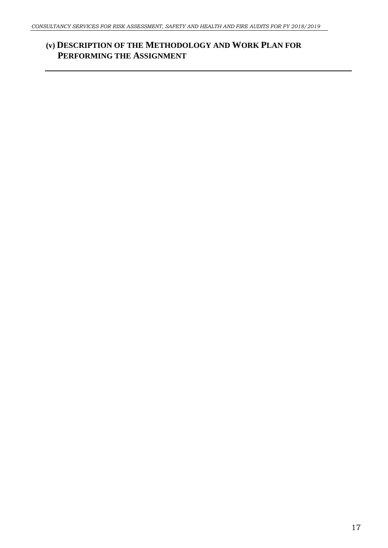# **(v) DESCRIPTION OF THE METHODOLOGY AND WORK PLAN FOR PERFORMING THE ASSIGNMENT**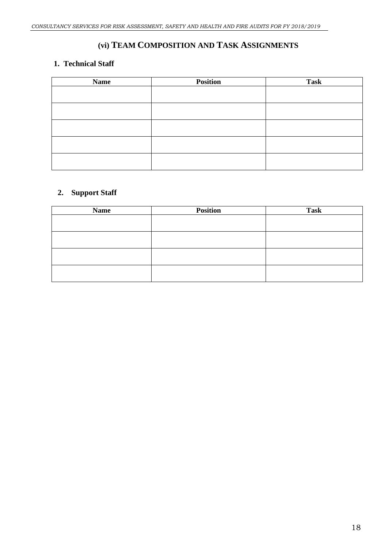# **(vi) TEAM COMPOSITION AND TASK ASSIGNMENTS**

#### **1. Technical Staff**

| <b>Name</b> | <b>Position</b> | <b>Task</b> |
|-------------|-----------------|-------------|
|             |                 |             |
|             |                 |             |
|             |                 |             |
|             |                 |             |
|             |                 |             |
|             |                 |             |
|             |                 |             |
|             |                 |             |
|             |                 |             |
|             |                 |             |

#### **2. Support Staff**

| <b>Name</b> | <b>Position</b> | <b>Task</b> |
|-------------|-----------------|-------------|
|             |                 |             |
|             |                 |             |
|             |                 |             |
|             |                 |             |
|             |                 |             |
|             |                 |             |
|             |                 |             |
|             |                 |             |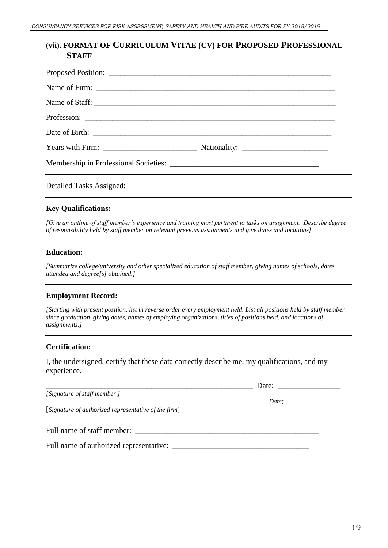#### **(vii). FORMAT OF CURRICULUM VITAE (CV) FOR PROPOSED PROFESSIONAL STAFF**

| Name of Staff: |  |
|----------------|--|
|                |  |
|                |  |
|                |  |
|                |  |
|                |  |

#### **Key Qualifications:**

*[Give an outline of staff member's experience and training most pertinent to tasks on assignment. Describe degree of responsibility held by staff member on relevant previous assignments and give dates and locations].*

#### **Education:**

*[Summarize college/university and other specialized education of staff member, giving names of schools, dates attended and degree[s] obtained.]*

#### **Employment Record:**

*[Starting with present position, list in reverse order every employment held. List all positions held by staff member since graduation, giving dates, names of employing organizations, titles of positions held, and locations of assignments.]*

#### **Certification:**

I, the undersigned, certify that these data correctly describe me, my qualifications, and my experience.

|                                                      | Date: $\qquad \qquad$ |  |
|------------------------------------------------------|-----------------------|--|
| [Signature of staff member]                          |                       |  |
|                                                      |                       |  |
| [Signature of authorized representative of the firm] |                       |  |
|                                                      |                       |  |
|                                                      |                       |  |
| Full name of staff member:                           |                       |  |
|                                                      |                       |  |
|                                                      |                       |  |
|                                                      |                       |  |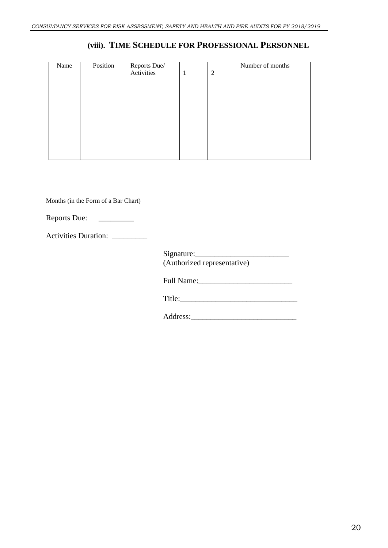# **(viii). TIME SCHEDULE FOR PROFESSIONAL PERSONNEL**

| Name | Position | Reports Due/<br>Activities | 1 | 2 | Number of months |
|------|----------|----------------------------|---|---|------------------|
|      |          |                            |   |   |                  |
|      |          |                            |   |   |                  |
|      |          |                            |   |   |                  |
|      |          |                            |   |   |                  |
|      |          |                            |   |   |                  |
|      |          |                            |   |   |                  |
|      |          |                            |   |   |                  |
|      |          |                            |   |   |                  |
|      |          |                            |   |   |                  |
|      |          |                            |   |   |                  |
|      |          |                            |   |   |                  |
|      |          |                            |   |   |                  |
|      |          |                            |   |   |                  |

Months (in the Form of a Bar Chart)

Reports Due: \_\_\_\_\_\_\_\_\_

Activities Duration: \_\_\_\_\_\_\_\_\_

Signature:\_\_\_\_\_\_\_\_\_\_\_\_\_\_\_\_\_\_\_\_\_\_\_\_ (Authorized representative)

Full Name:\_\_\_\_\_\_\_\_\_\_\_\_\_\_\_\_\_\_\_\_\_\_\_\_

Title:\_\_\_\_\_\_\_\_\_\_\_\_\_\_\_\_\_\_\_\_\_\_\_\_\_\_\_\_\_\_

Address:\_\_\_\_\_\_\_\_\_\_\_\_\_\_\_\_\_\_\_\_\_\_\_\_\_\_\_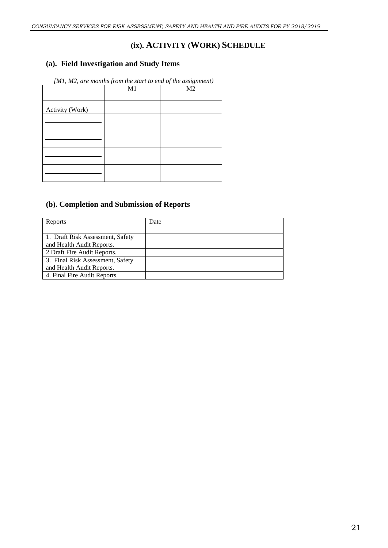## **(ix). ACTIVITY (WORK) SCHEDULE**

#### **(a). Field Investigation and Study Items**

| $[M1, M2,$ are months from the start to end of the assignment) |    |                |  |
|----------------------------------------------------------------|----|----------------|--|
|                                                                | M1 | M <sub>2</sub> |  |
|                                                                |    |                |  |
| Activity (Work)                                                |    |                |  |
|                                                                |    |                |  |
|                                                                |    |                |  |
|                                                                |    |                |  |
|                                                                |    |                |  |
|                                                                |    |                |  |
|                                                                |    |                |  |
|                                                                |    |                |  |
|                                                                |    |                |  |

### **(b). Completion and Submission of Reports**

| Reports                          | Date |
|----------------------------------|------|
|                                  |      |
| 1. Draft Risk Assessment, Safety |      |
| and Health Audit Reports.        |      |
| 2 Draft Fire Audit Reports.      |      |
| 3. Final Risk Assessment, Safety |      |
| and Health Audit Reports.        |      |
| 4. Final Fire Audit Reports.     |      |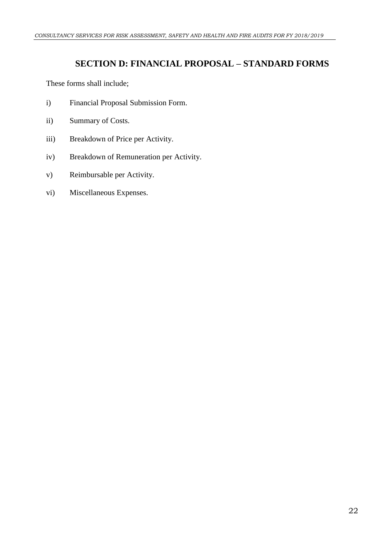# **SECTION D: FINANCIAL PROPOSAL – STANDARD FORMS**

<span id="page-23-0"></span>These forms shall include;

- i) Financial Proposal Submission Form.
- ii) Summary of Costs.
- iii) Breakdown of Price per Activity.
- iv) Breakdown of Remuneration per Activity.
- v) Reimbursable per Activity.
- vi) Miscellaneous Expenses.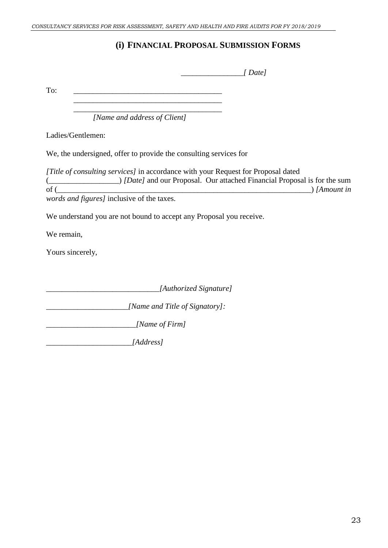# **(i) FINANCIAL PROPOSAL SUBMISSION FORMS**

 *\_\_\_\_\_\_\_\_\_\_\_\_\_\_\_\_[ Date]*

 $To:$ 

 $\overline{\phantom{a}}$  , which is a set of the set of the set of the set of the set of the set of the set of the set of the set of the set of the set of the set of the set of the set of the set of the set of the set of the set of th *[Name and address of Client]*

Ladies/Gentlemen:

We, the undersigned, offer to provide the consulting services for

*[Title of consulting services]* in accordance with your Request for Proposal dated (*Composed Composed Composed Composed Composed Composed Composed Composed Composed Composed Composed Composed Composed Composed Composed Composed Composed Composed Composed Composed Composed Composed Composed Composed Comp*  $\sum_{l=1}^{\infty}$  *[Amount in words and figures]* inclusive of the taxes.

We understand you are not bound to accept any Proposal you receive.

We remain,

Yours sincerely,

*\_\_\_\_\_\_\_\_\_\_\_\_\_\_\_\_\_\_\_\_\_\_\_\_\_\_\_\_\_[Authorized Signature]*

*\_\_\_\_\_\_\_\_\_\_\_\_\_\_\_\_\_\_\_\_\_[Name and Title of Signatory]:*

*\_\_\_\_\_\_\_\_\_\_\_\_\_\_\_\_\_\_\_\_\_\_\_[Name of Firm]*

*\_\_\_\_\_\_\_\_\_\_\_\_\_\_\_\_\_\_\_\_\_\_[Address]*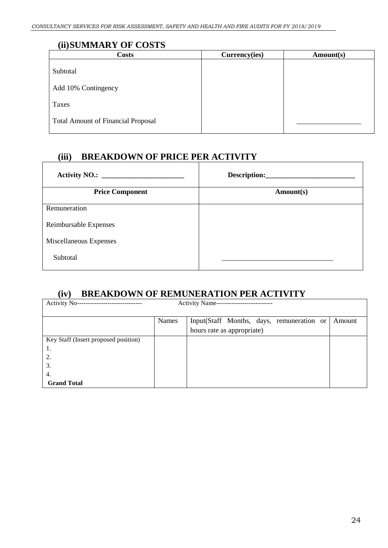#### **(ii)SUMMARY OF COSTS**

| <b>Costs</b>                              | Currency(ies) | Amount(s) |
|-------------------------------------------|---------------|-----------|
| Subtotal                                  |               |           |
| Add 10% Contingency                       |               |           |
| Taxes                                     |               |           |
| <b>Total Amount of Financial Proposal</b> |               |           |

# **(iii) BREAKDOWN OF PRICE PER ACTIVITY**

|                        | Description: |
|------------------------|--------------|
| <b>Price Component</b> | Amount(s)    |
| Remuneration           |              |
| Reimbursable Expenses  |              |
| Miscellaneous Expenses |              |
| Subtotal               |              |

# **(iv) BREAKDOWN OF REMUNERATION PER ACTIVITY**

| Activity No--                        |              | Activity Name--------------------         |        |  |
|--------------------------------------|--------------|-------------------------------------------|--------|--|
|                                      |              |                                           |        |  |
|                                      | <b>Names</b> | Input(Staff Months, days, remuneration or | Amount |  |
|                                      |              | hours rate as appropriate)                |        |  |
| Key Staff (Insert proposed position) |              |                                           |        |  |
| ι.                                   |              |                                           |        |  |
| 2.                                   |              |                                           |        |  |
| 3.                                   |              |                                           |        |  |
| 4.                                   |              |                                           |        |  |
| <b>Grand Total</b>                   |              |                                           |        |  |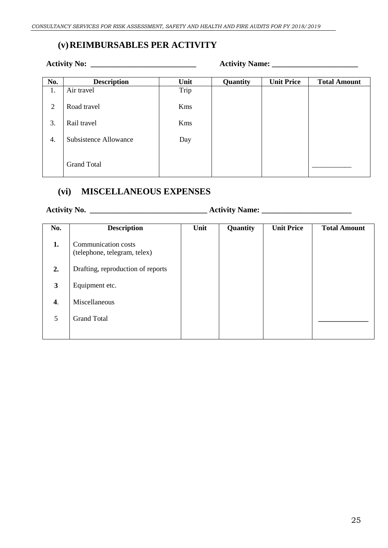# **(v)REIMBURSABLES PER ACTIVITY**

#### **Activity No: \_\_\_\_\_\_\_\_\_\_\_\_\_\_\_\_\_\_\_\_\_\_\_\_\_\_\_ Activity Name: \_\_\_\_\_\_\_\_\_\_\_\_\_\_\_\_\_\_\_\_\_\_**

| No. | <b>Description</b>           | Unit | Quantity | <b>Unit Price</b> | <b>Total Amount</b> |
|-----|------------------------------|------|----------|-------------------|---------------------|
| 1.  | Air travel                   | Trip |          |                   |                     |
| 2   | Road travel                  | Kms  |          |                   |                     |
| 3.  | Rail travel                  | Kms  |          |                   |                     |
| 4.  | <b>Subsistence Allowance</b> | Day  |          |                   |                     |
|     | <b>Grand Total</b>           |      |          |                   |                     |

## **(vi) MISCELLANEOUS EXPENSES**

**Activity No. \_\_\_\_\_\_\_\_\_\_\_\_\_\_\_\_\_\_\_\_\_\_\_\_\_\_\_\_\_\_ Activity Name: \_\_\_\_\_\_\_\_\_\_\_\_\_\_\_\_\_\_\_\_\_\_\_**

| No. | <b>Description</b>                                  | Unit | Quantity | <b>Unit Price</b> | <b>Total Amount</b> |
|-----|-----------------------------------------------------|------|----------|-------------------|---------------------|
| 1.  | Communication costs<br>(telephone, telegram, telex) |      |          |                   |                     |
| 2.  | Drafting, reproduction of reports                   |      |          |                   |                     |
| 3   | Equipment etc.                                      |      |          |                   |                     |
| 4.  | Miscellaneous                                       |      |          |                   |                     |
| 5   | <b>Grand Total</b>                                  |      |          |                   |                     |
|     |                                                     |      |          |                   |                     |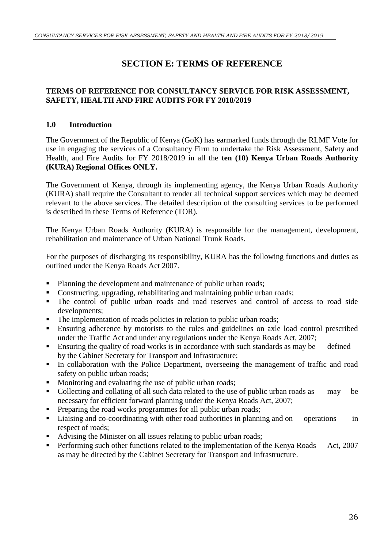# **SECTION E: TERMS OF REFERENCE**

#### <span id="page-27-0"></span>**TERMS OF REFERENCE FOR CONSULTANCY SERVICE FOR RISK ASSESSMENT, SAFETY, HEALTH AND FIRE AUDITS FOR FY 2018/2019**

#### **1.0 Introduction**

The Government of the Republic of Kenya (GoK) has earmarked funds through the RLMF Vote for use in engaging the services of a Consultancy Firm to undertake the Risk Assessment, Safety and Health, and Fire Audits for FY 2018/2019 in all the **ten (10) Kenya Urban Roads Authority (KURA) Regional Offices ONLY.**

The Government of Kenya, through its implementing agency, the Kenya Urban Roads Authority (KURA) shall require the Consultant to render all technical support services which may be deemed relevant to the above services. The detailed description of the consulting services to be performed is described in these Terms of Reference (TOR).

The Kenya Urban Roads Authority (KURA) is responsible for the management, development, rehabilitation and maintenance of Urban National Trunk Roads.

For the purposes of discharging its responsibility, KURA has the following functions and duties as outlined under the Kenya Roads Act 2007.

- Planning the development and maintenance of public urban roads;
- Constructing, upgrading, rehabilitating and maintaining public urban roads;
- The control of public urban roads and road reserves and control of access to road side developments;
- The implementation of roads policies in relation to public urban roads;
- Ensuring adherence by motorists to the rules and guidelines on axle load control prescribed under the Traffic Act and under any regulations under the Kenya Roads Act, 2007;
- Ensuring the quality of road works is in accordance with such standards as may be defined by the Cabinet Secretary for Transport and Infrastructure;
- In collaboration with the Police Department, overseeing the management of traffic and road safety on public urban roads;
- Monitoring and evaluating the use of public urban roads;
- Collecting and collating of all such data related to the use of public urban roads as may be necessary for efficient forward planning under the Kenya Roads Act, 2007;
- Preparing the road works programmes for all public urban roads;
- Liaising and co-coordinating with other road authorities in planning and on operations in respect of roads;
- Advising the Minister on all issues relating to public urban roads;
- Performing such other functions related to the implementation of the Kenya Roads Act, 2007 as may be directed by the Cabinet Secretary for Transport and Infrastructure.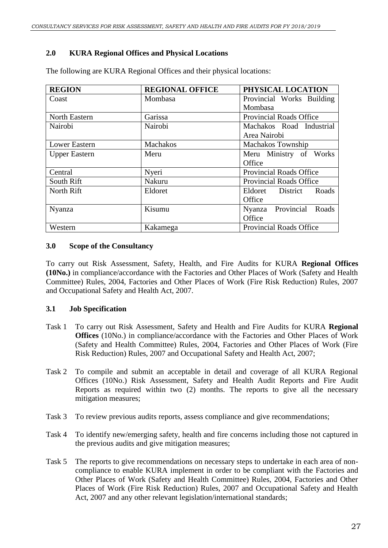#### **2.0 KURA Regional Offices and Physical Locations**

| <b>REGION</b>        | <b>REGIONAL OFFICE</b> | PHYSICAL LOCATION              |  |
|----------------------|------------------------|--------------------------------|--|
| Coast                | Mombasa                | Provincial Works Building      |  |
|                      |                        | Mombasa                        |  |
| North Eastern        | Garissa                | Provincial Roads Office        |  |
| Nairobi              | Nairobi                | Machakos Road Industrial       |  |
|                      |                        | Area Nairobi                   |  |
| <b>Lower Eastern</b> | Machakos               | <b>Machakos Township</b>       |  |
| <b>Upper Eastern</b> | Meru                   | Meru Ministry of Works         |  |
|                      |                        | Office                         |  |
| Central              | Nyeri                  | <b>Provincial Roads Office</b> |  |
| South Rift           | Nakuru                 | <b>Provincial Roads Office</b> |  |
| North Rift           | Eldoret                | Eldoret District<br>Roads      |  |
|                      |                        | Office                         |  |
| <b>Nyanza</b>        | Kisumu                 | Nyanza Provincial<br>Roads     |  |
|                      |                        | Office                         |  |
| Western              | Kakamega               | Provincial Roads Office        |  |

The following are KURA Regional Offices and their physical locations:

#### **3.0 Scope of the Consultancy**

To carry out Risk Assessment, Safety, Health, and Fire Audits for KURA **Regional Offices (10No.)** in compliance/accordance with the Factories and Other Places of Work (Safety and Health Committee) Rules, 2004, Factories and Other Places of Work (Fire Risk Reduction) Rules, 2007 and Occupational Safety and Health Act, 2007.

#### **3.1 Job Specification**

- Task 1 To carry out Risk Assessment, Safety and Health and Fire Audits for KURA **Regional Offices** (10No.) in compliance/accordance with the Factories and Other Places of Work (Safety and Health Committee) Rules, 2004, Factories and Other Places of Work (Fire Risk Reduction) Rules, 2007 and Occupational Safety and Health Act, 2007;
- Task 2 To compile and submit an acceptable in detail and coverage of all KURA Regional Offices (10No.) Risk Assessment, Safety and Health Audit Reports and Fire Audit Reports as required within two (2) months. The reports to give all the necessary mitigation measures;
- Task 3 To review previous audits reports, assess compliance and give recommendations;
- Task 4 To identify new/emerging safety, health and fire concerns including those not captured in the previous audits and give mitigation measures;
- Task 5 The reports to give recommendations on necessary steps to undertake in each area of noncompliance to enable KURA implement in order to be compliant with the Factories and Other Places of Work (Safety and Health Committee) Rules, 2004, Factories and Other Places of Work (Fire Risk Reduction) Rules, 2007 and Occupational Safety and Health Act, 2007 and any other relevant legislation/international standards;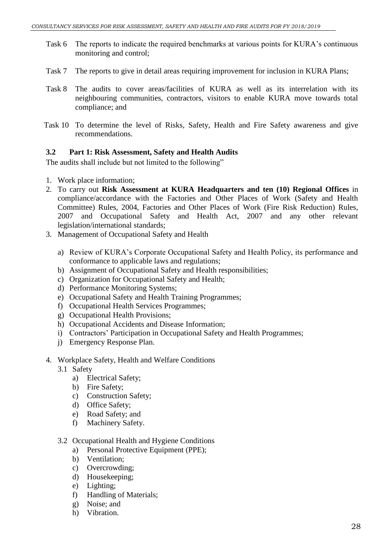- Task 6 The reports to indicate the required benchmarks at various points for KURA's continuous monitoring and control;
- Task 7 The reports to give in detail areas requiring improvement for inclusion in KURA Plans;
- Task 8 The audits to cover areas/facilities of KURA as well as its interrelation with its neighbouring communities, contractors, visitors to enable KURA move towards total compliance; and
- Task 10 To determine the level of Risks, Safety, Health and Fire Safety awareness and give recommendations.

#### **3.2 Part 1: Risk Assessment, Safety and Health Audits**

The audits shall include but not limited to the following"

- 1. Work place information;
- 2. To carry out **Risk Assessment at KURA Headquarters and ten (10) Regional Offices** in compliance/accordance with the Factories and Other Places of Work (Safety and Health Committee) Rules, 2004, Factories and Other Places of Work (Fire Risk Reduction) Rules, 2007 and Occupational Safety and Health Act, 2007 and any other relevant legislation/international standards;
- 3. Management of Occupational Safety and Health
	- a) Review of KURA's Corporate Occupational Safety and Health Policy, its performance and conformance to applicable laws and regulations;
	- b) Assignment of Occupational Safety and Health responsibilities;
	- c) Organization for Occupational Safety and Health;
	- d) Performance Monitoring Systems;
	- e) Occupational Safety and Health Training Programmes;
	- f) Occupational Health Services Programmes;
	- g) Occupational Health Provisions;
	- h) Occupational Accidents and Disease Information;
	- i) Contractors' Participation in Occupational Safety and Health Programmes;
	- j) Emergency Response Plan.
- 4. Workplace Safety, Health and Welfare Conditions
	- 3.1 Safety
		- a) Electrical Safety;
		- b) Fire Safety;
		- c) Construction Safety;
		- d) Office Safety;
		- e) Road Safety; and
		- f) Machinery Safety.

#### 3.2 Occupational Health and Hygiene Conditions

- a) Personal Protective Equipment (PPE);
- b) Ventilation;
- c) Overcrowding;
- d) Housekeeping;
- e) Lighting;
- f) Handling of Materials;
- g) Noise; and
- h) Vibration.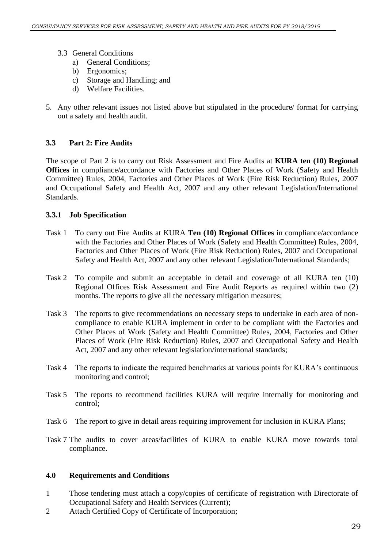- 3.3 General Conditions
	- a) General Conditions;
	- b) Ergonomics;
	- c) Storage and Handling; and
	- d) Welfare Facilities.
- 5. Any other relevant issues not listed above but stipulated in the procedure/ format for carrying out a safety and health audit.

#### **3.3 Part 2: Fire Audits**

The scope of Part 2 is to carry out Risk Assessment and Fire Audits at **KURA ten (10) Regional Offices** in compliance/accordance with Factories and Other Places of Work (Safety and Health Committee) Rules, 2004, Factories and Other Places of Work (Fire Risk Reduction) Rules, 2007 and Occupational Safety and Health Act, 2007 and any other relevant Legislation/International Standards.

#### **3.3.1 Job Specification**

- Task 1 To carry out Fire Audits at KURA **Ten (10) Regional Offices** in compliance/accordance with the Factories and Other Places of Work (Safety and Health Committee) Rules, 2004, Factories and Other Places of Work (Fire Risk Reduction) Rules, 2007 and Occupational Safety and Health Act, 2007 and any other relevant Legislation/International Standards;
- Task 2 To compile and submit an acceptable in detail and coverage of all KURA ten (10) Regional Offices Risk Assessment and Fire Audit Reports as required within two (2) months. The reports to give all the necessary mitigation measures;
- Task 3 The reports to give recommendations on necessary steps to undertake in each area of noncompliance to enable KURA implement in order to be compliant with the Factories and Other Places of Work (Safety and Health Committee) Rules, 2004, Factories and Other Places of Work (Fire Risk Reduction) Rules, 2007 and Occupational Safety and Health Act, 2007 and any other relevant legislation/international standards;
- Task 4 The reports to indicate the required benchmarks at various points for KURA's continuous monitoring and control;
- Task 5 The reports to recommend facilities KURA will require internally for monitoring and control;
- Task 6 The report to give in detail areas requiring improvement for inclusion in KURA Plans;
- Task 7 The audits to cover areas/facilities of KURA to enable KURA move towards total compliance.

#### **4.0 Requirements and Conditions**

- 1 Those tendering must attach a copy/copies of certificate of registration with Directorate of Occupational Safety and Health Services (Current);
- 2 Attach Certified Copy of Certificate of Incorporation;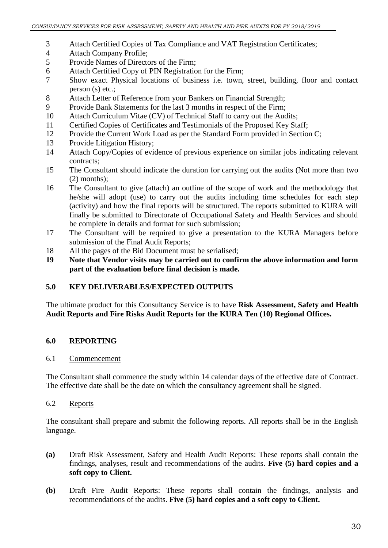- 3 Attach Certified Copies of Tax Compliance and VAT Registration Certificates;
- 4 Attach Company Profile;
- 5 Provide Names of Directors of the Firm;
- 6 Attach Certified Copy of PIN Registration for the Firm;
- 7 Show exact Physical locations of business i.e. town, street, building, floor and contact person (s) etc.;
- 8 Attach Letter of Reference from your Bankers on Financial Strength;
- 9 Provide Bank Statements for the last 3 months in respect of the Firm;
- 10 Attach Curriculum Vitae (CV) of Technical Staff to carry out the Audits;
- 11 Certified Copies of Certificates and Testimonials of the Proposed Key Staff;
- 12 Provide the Current Work Load as per the Standard Form provided in Section C;
- 13 Provide Litigation History;
- 14 Attach Copy/Copies of evidence of previous experience on similar jobs indicating relevant contracts;
- 15 The Consultant should indicate the duration for carrying out the audits (Not more than two (2) months);
- 16 The Consultant to give (attach) an outline of the scope of work and the methodology that he/she will adopt (use) to carry out the audits including time schedules for each step (activity) and how the final reports will be structured. The reports submitted to KURA will finally be submitted to Directorate of Occupational Safety and Health Services and should be complete in details and format for such submission;
- 17 The Consultant will be required to give a presentation to the KURA Managers before submission of the Final Audit Reports;
- 18 All the pages of the Bid Document must be serialised;
- **19 Note that Vendor visits may be carried out to confirm the above information and form part of the evaluation before final decision is made.**

#### **5.0 KEY DELIVERABLES/EXPECTED OUTPUTS**

The ultimate product for this Consultancy Service is to have **Risk Assessment, Safety and Health Audit Reports and Fire Risks Audit Reports for the KURA Ten (10) Regional Offices.**

#### **6.0 REPORTING**

#### 6.1 Commencement

The Consultant shall commence the study within 14 calendar days of the effective date of Contract. The effective date shall be the date on which the consultancy agreement shall be signed.

#### 6.2 Reports

The consultant shall prepare and submit the following reports. All reports shall be in the English language.

- **(a)** Draft Risk Assessment, Safety and Health Audit Reports: These reports shall contain the findings, analyses, result and recommendations of the audits. **Five (5) hard copies and a soft copy to Client.**
- **(b)** Draft Fire Audit Reports: These reports shall contain the findings, analysis and recommendations of the audits. **Five (5) hard copies and a soft copy to Client.**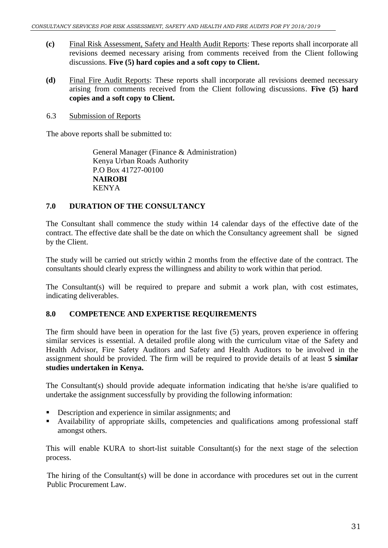- **(c)** Final Risk Assessment, Safety and Health Audit Reports: These reports shall incorporate all revisions deemed necessary arising from comments received from the Client following discussions. **Five (5) hard copies and a soft copy to Client.**
- **(d)** Final Fire Audit Reports: These reports shall incorporate all revisions deemed necessary arising from comments received from the Client following discussions. **Five (5) hard copies and a soft copy to Client.**
- 6.3 Submission of Reports

The above reports shall be submitted to:

General Manager (Finance & Administration) Kenya Urban Roads Authority P.O Box 41727-00100 **NAIROBI** KENYA

#### **7.0 DURATION OF THE CONSULTANCY**

The Consultant shall commence the study within 14 calendar days of the effective date of the contract. The effective date shall be the date on which the Consultancy agreement shall be signed by the Client.

The study will be carried out strictly within 2 months from the effective date of the contract. The consultants should clearly express the willingness and ability to work within that period.

The Consultant(s) will be required to prepare and submit a work plan, with cost estimates, indicating deliverables.

#### **8.0 COMPETENCE AND EXPERTISE REQUIREMENTS**

The firm should have been in operation for the last five (5) years, proven experience in offering similar services is essential. A detailed profile along with the curriculum vitae of the Safety and Health Advisor, Fire Safety Auditors and Safety and Health Auditors to be involved in the assignment should be provided. The firm will be required to provide details of at least **5 similar studies undertaken in Kenya.**

The Consultant(s) should provide adequate information indicating that he/she is/are qualified to undertake the assignment successfully by providing the following information:

- Description and experience in similar assignments; and
- Availability of appropriate skills, competencies and qualifications among professional staff amongst others.

This will enable KURA to short-list suitable Consultant(s) for the next stage of the selection process.

The hiring of the Consultant(s) will be done in accordance with procedures set out in the current Public Procurement Law.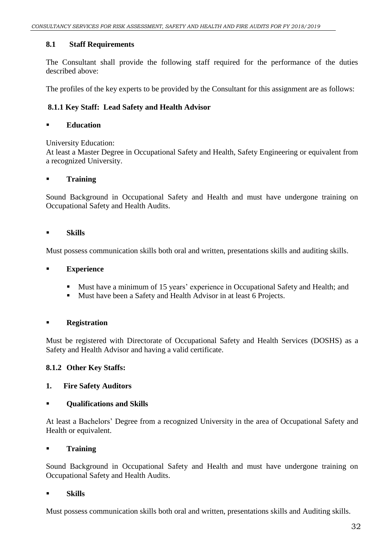#### **8.1 Staff Requirements**

The Consultant shall provide the following staff required for the performance of the duties described above:

The profiles of the key experts to be provided by the Consultant for this assignment are as follows:

#### **8.1.1 Key Staff: Lead Safety and Health Advisor**

#### **Education**

University Education:

At least a Master Degree in Occupational Safety and Health, Safety Engineering or equivalent from a recognized University.

#### **Training**

Sound Background in Occupational Safety and Health and must have undergone training on Occupational Safety and Health Audits.

#### **Skills**

Must possess communication skills both oral and written, presentations skills and auditing skills.

#### **Experience**

- Must have a minimum of 15 years' experience in Occupational Safety and Health; and
- Must have been a Safety and Health Advisor in at least 6 Projects.

#### **Registration**

Must be registered with Directorate of Occupational Safety and Health Services (DOSHS) as a Safety and Health Advisor and having a valid certificate.

#### **8.1.2 Other Key Staffs:**

#### **1. Fire Safety Auditors**

#### **Qualifications and Skills**

At least a Bachelors' Degree from a recognized University in the area of Occupational Safety and Health or equivalent.

#### **Training**

Sound Background in Occupational Safety and Health and must have undergone training on Occupational Safety and Health Audits.

#### **Skills**

Must possess communication skills both oral and written, presentations skills and Auditing skills.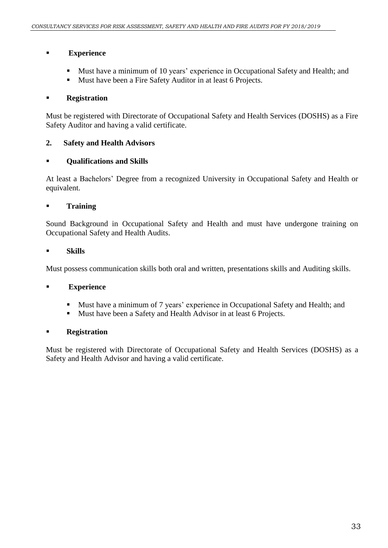#### **Experience**

- Must have a minimum of 10 years' experience in Occupational Safety and Health; and
- Must have been a Fire Safety Auditor in at least 6 Projects.

#### **Registration**

Must be registered with Directorate of Occupational Safety and Health Services (DOSHS) as a Fire Safety Auditor and having a valid certificate.

#### **2. Safety and Health Advisors**

#### **Qualifications and Skills**

At least a Bachelors' Degree from a recognized University in Occupational Safety and Health or equivalent.

#### **Training**

Sound Background in Occupational Safety and Health and must have undergone training on Occupational Safety and Health Audits.

#### **Skills**

Must possess communication skills both oral and written, presentations skills and Auditing skills.

#### **Experience**

- Must have a minimum of 7 years' experience in Occupational Safety and Health; and
- Must have been a Safety and Health Advisor in at least 6 Projects.

#### **Registration**

Must be registered with Directorate of Occupational Safety and Health Services (DOSHS) as a Safety and Health Advisor and having a valid certificate.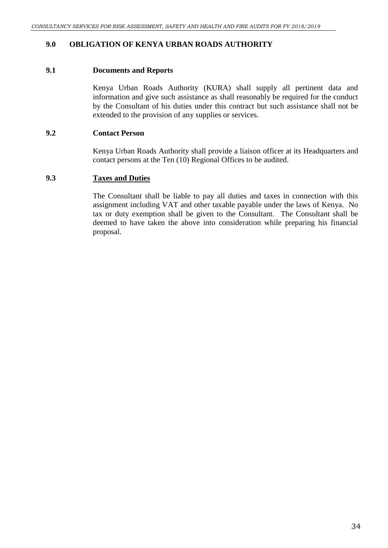#### **9.0 OBLIGATION OF KENYA URBAN ROADS AUTHORITY**

#### **9.1 Documents and Reports**

Kenya Urban Roads Authority (KURA) shall supply all pertinent data and information and give such assistance as shall reasonably be required for the conduct by the Consultant of his duties under this contract but such assistance shall not be extended to the provision of any supplies or services.

#### **9.2 Contact Person**

Kenya Urban Roads Authority shall provide a liaison officer at its Headquarters and contact persons at the Ten (10) Regional Offices to be audited.

#### **9.3 Taxes and Duties**

The Consultant shall be liable to pay all duties and taxes in connection with this assignment including VAT and other taxable payable under the laws of Kenya. No tax or duty exemption shall be given to the Consultant. The Consultant shall be deemed to have taken the above into consideration while preparing his financial proposal.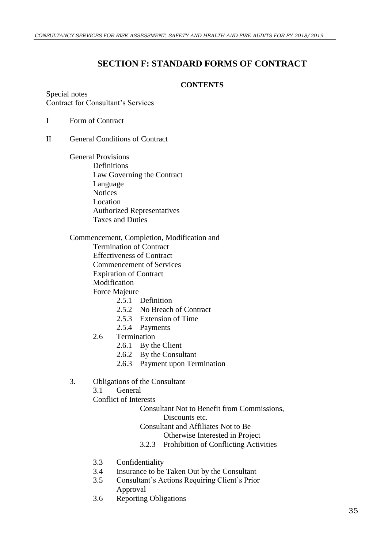# **SECTION F: STANDARD FORMS OF CONTRACT**

#### **CONTENTS**

<span id="page-36-0"></span>Special notes Contract for Consultant's Services

#### I Form of Contract

#### II General Conditions of Contract

General Provisions Definitions Law Governing the Contract Language **Notices** Location Authorized Representatives Taxes and Duties

Commencement, Completion, Modification and Termination of Contract

Effectiveness of Contract

Commencement of Services

Expiration of Contract

Modification

Force Majeure

- 2.5.1 Definition
- 2.5.2 No Breach of Contract
- 2.5.3 Extension of Time
- 2.5.4 Payments
- 2.6 Termination
	- 2.6.1 By the Client
	- 2.6.2 By the Consultant
	- 2.6.3 Payment upon Termination
- 3. Obligations of the Consultant
	- 3.1 General

Conflict of Interests

Consultant Not to Benefit from Commissions,

Discounts etc.

Consultant and Affiliates Not to Be

Otherwise Interested in Project

- 3.2.3 Prohibition of Conflicting Activities
- 3.3 Confidentiality
- 3.4 Insurance to be Taken Out by the Consultant
- 3.5 Consultant's Actions Requiring Client's Prior Approval
- 3.6 Reporting Obligations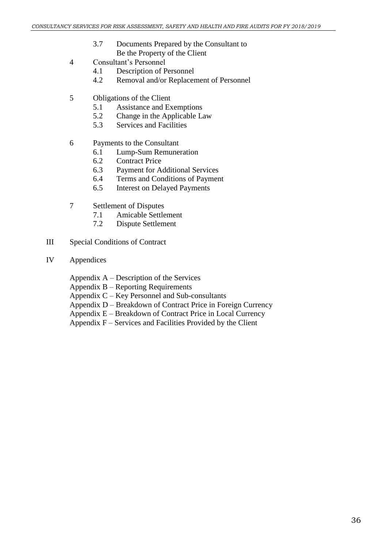- 3.7 Documents Prepared by the Consultant to Be the Property of the Client
- 4 Consultant's Personnel
	- 4.1 Description of Personnel
	- 4.2 Removal and/or Replacement of Personnel
- 5 Obligations of the Client
	- 5.1 Assistance and Exemptions
	- 5.2 Change in the Applicable Law
	- 5.3 Services and Facilities
- 6 Payments to the Consultant
	- 6.1 Lump-Sum Remuneration
	- 6.2 Contract Price
	- 6.3 Payment for Additional Services
	- 6.4 Terms and Conditions of Payment
	- 6.5 Interest on Delayed Payments
- 7 Settlement of Disputes
	- 7.1 Amicable Settlement
	- 7.2 Dispute Settlement
- III Special Conditions of Contract
- IV Appendices
	- Appendix A Description of the Services
	- Appendix B Reporting Requirements
	- Appendix C Key Personnel and Sub-consultants
	- Appendix D Breakdown of Contract Price in Foreign Currency
	- Appendix E Breakdown of Contract Price in Local Currency
	- Appendix F Services and Facilities Provided by the Client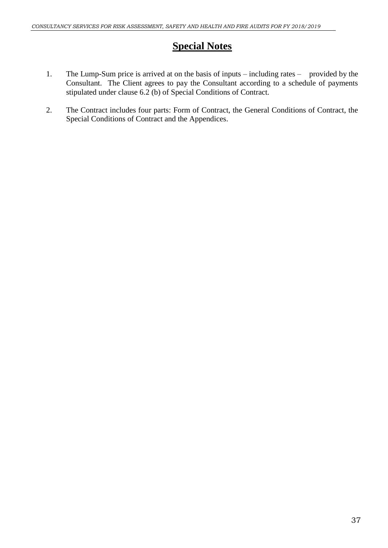# **Special Notes**

- 1. The Lump-Sum price is arrived at on the basis of inputs including rates provided by the Consultant. The Client agrees to pay the Consultant according to a schedule of payments stipulated under clause 6.2 (b) of Special Conditions of Contract.
- 2. The Contract includes four parts: Form of Contract, the General Conditions of Contract, the Special Conditions of Contract and the Appendices.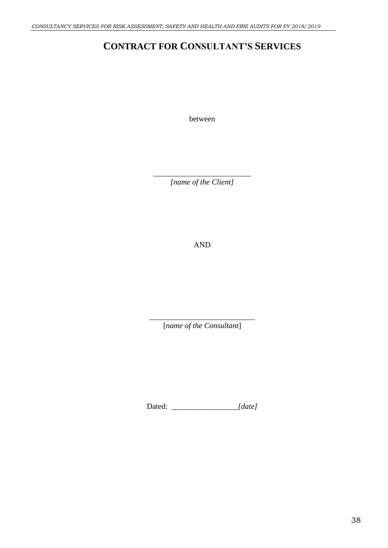# **CONTRACT FOR CONSULTANT'S SERVICES**

between

\_\_\_\_\_\_\_\_\_\_\_\_\_\_\_\_\_\_\_\_\_\_\_\_\_ *[name of the Client]*

AND

\_\_\_\_\_\_\_\_\_\_\_\_\_\_\_\_\_\_\_\_\_\_\_\_\_\_\_ [*name of the Consultant*]

Dated: *\_\_\_\_\_\_\_\_\_\_\_\_\_\_\_\_\_[date]*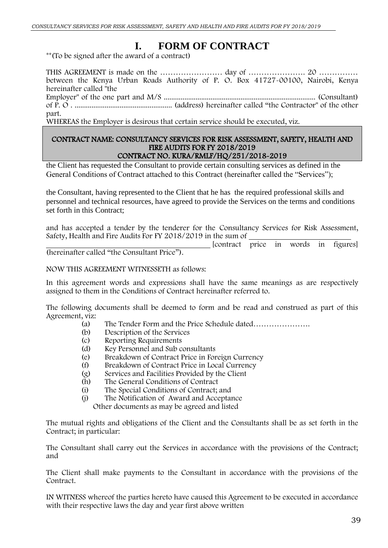# **I. FORM OF CONTRACT**

\*\*(To be signed after the award of a contract)

THIS AGREEMENT is made on the …………………… day of …………………. 20 …………… between the Kenya Urban Roads Authority of P. O. Box 41727-00100, Nairobi, Kenya hereinafter called "the

Employer" of the one part and M/S ................................................................................. (Consultant) of P. O . .................................................... (address) hereinafter called "the Contractor" of the other part.

WHEREAS the Employer is desirous that certain service should be executed, viz.

#### CONTRACT NAME: CONSULTANCY SERVICES FOR RISK ASSESSMENT, SAFETY, HEALTH AND FIRE AUDITS FOR FY 2018/2019 CONTRACT NO. KURA/RMLF/HQ/251/2018-2019

the Client has requested the Consultant to provide certain consulting services as defined in the General Conditions of Contract attached to this Contract (hereinafter called the "Services");

the Consultant, having represented to the Client that he has the required professional skills and personnel and technical resources, have agreed to provide the Services on the terms and conditions set forth in this Contract;

and has accepted a tender by the tenderer for the Consultancy Services for Risk Assessment, Safety, Health and Fire Audits For FY 2018/2019 in the sum of

[contract price in words in figures] (hereinafter called "the Consultant Price").

NOW THIS AGREEMENT WITNESSETH as follows:

In this agreement words and expressions shall have the same meanings as are respectively assigned to them in the Conditions of Contract hereinafter referred to.

The following documents shall be deemed to form and be read and construed as part of this Agreement, viz:<br>(a)

- The Tender Form and the Price Schedule dated…………………
- (b) Description of the Services<br>(c) Reporting Requirements
- Reporting Requirements
- (d) Key Personnel and Sub consultants
- (e) Breakdown of Contract Price in Foreign Currency
- (f) Breakdown of Contract Price in Local Currency
- (g) Services and Facilities Provided by the Client
- (h) The General Conditions of Contract<br>(i) The Special Conditions of Contract:
- The Special Conditions of Contract; and
- (j) The Notification of Award and Acceptance Other documents as may be agreed and listed

The mutual rights and obligations of the Client and the Consultants shall be as set forth in the Contract; in particular:

The Consultant shall carry out the Services in accordance with the provisions of the Contract; and

The Client shall make payments to the Consultant in accordance with the provisions of the Contract.

IN WITNESS whereof the parties hereto have caused this Agreement to be executed in accordance with their respective laws the day and year first above written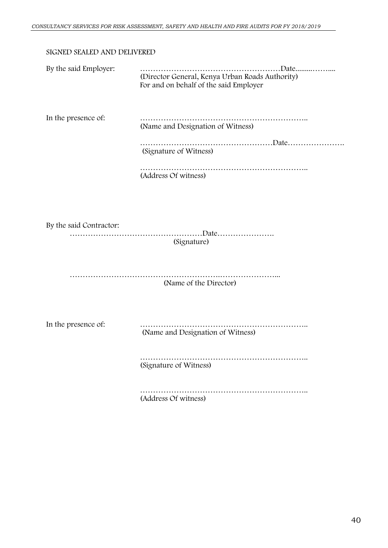#### SIGNED SEALED AND DELIVERED

| By the said Employer:   | (Director General, Kenya Urban Roads Authority)<br>For and on behalf of the said Employer |  |  |  |
|-------------------------|-------------------------------------------------------------------------------------------|--|--|--|
| In the presence of:     | (Name and Designation of Witness)                                                         |  |  |  |
|                         | (Signature of Witness)                                                                    |  |  |  |
|                         | (Address Of witness)                                                                      |  |  |  |
| By the said Contractor: | (Signature)                                                                               |  |  |  |
|                         | (Name of the Director)                                                                    |  |  |  |
| In the presence of:     | (Name and Designation of Witness)                                                         |  |  |  |
|                         | (Signature of Witness)                                                                    |  |  |  |
|                         |                                                                                           |  |  |  |

(Address Of witness)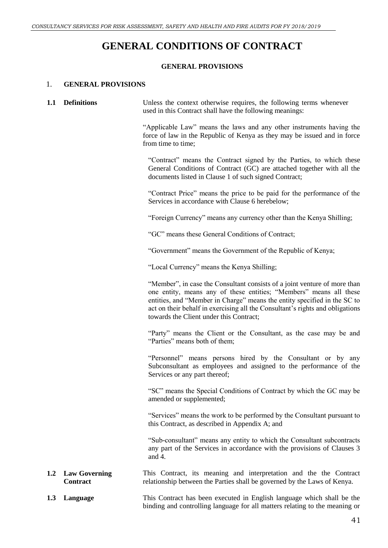# **GENERAL CONDITIONS OF CONTRACT**

#### **GENERAL PROVISIONS**

#### 1. **GENERAL PROVISIONS**

| 1.1 | <b>Definitions</b>               | Unless the context otherwise requires, the following terms whenever<br>used in this Contract shall have the following meanings:                                                                                                                                                                                                                         |
|-----|----------------------------------|---------------------------------------------------------------------------------------------------------------------------------------------------------------------------------------------------------------------------------------------------------------------------------------------------------------------------------------------------------|
|     |                                  | "Applicable Law" means the laws and any other instruments having the<br>force of law in the Republic of Kenya as they may be issued and in force<br>from time to time;                                                                                                                                                                                  |
|     |                                  | "Contract" means the Contract signed by the Parties, to which these<br>General Conditions of Contract (GC) are attached together with all the<br>documents listed in Clause 1 of such signed Contract;                                                                                                                                                  |
|     |                                  | "Contract Price" means the price to be paid for the performance of the<br>Services in accordance with Clause 6 herebelow;                                                                                                                                                                                                                               |
|     |                                  | "Foreign Currency" means any currency other than the Kenya Shilling;                                                                                                                                                                                                                                                                                    |
|     |                                  | "GC" means these General Conditions of Contract;                                                                                                                                                                                                                                                                                                        |
|     |                                  | "Government" means the Government of the Republic of Kenya;                                                                                                                                                                                                                                                                                             |
|     |                                  | "Local Currency" means the Kenya Shilling;                                                                                                                                                                                                                                                                                                              |
|     |                                  | "Member", in case the Consultant consists of a joint venture of more than<br>one entity, means any of these entities; "Members" means all these<br>entities, and "Member in Charge" means the entity specified in the SC to<br>act on their behalf in exercising all the Consultant's rights and obligations<br>towards the Client under this Contract; |
|     |                                  | "Party" means the Client or the Consultant, as the case may be and<br>"Parties" means both of them;                                                                                                                                                                                                                                                     |
|     |                                  | "Personnel" means persons hired by the Consultant or by any<br>Subconsultant as employees and assigned to the performance of the<br>Services or any part thereof;                                                                                                                                                                                       |
|     |                                  | "SC" means the Special Conditions of Contract by which the GC may be<br>amended or supplemented;                                                                                                                                                                                                                                                        |
|     |                                  | "Services" means the work to be performed by the Consultant pursuant to<br>this Contract, as described in Appendix A; and                                                                                                                                                                                                                               |
|     |                                  | "Sub-consultant" means any entity to which the Consultant subcontracts<br>any part of the Services in accordance with the provisions of Clauses 3<br>and 4.                                                                                                                                                                                             |
| 1.2 | <b>Law Governing</b><br>Contract | This Contract, its meaning and interpretation and the the Contract<br>relationship between the Parties shall be governed by the Laws of Kenya.                                                                                                                                                                                                          |
| 1.3 | Language                         | This Contract has been executed in English language which shall be the                                                                                                                                                                                                                                                                                  |

binding and controlling language for all matters relating to the meaning or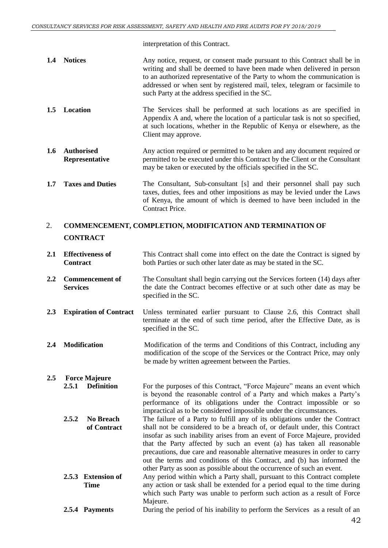interpretation of this Contract.

| 1.4 Notices | Any notice, request, or consent made pursuant to this Contract shall be in |
|-------------|----------------------------------------------------------------------------|
|             | writing and shall be deemed to have been made when delivered in person     |
|             | to an authorized representative of the Party to whom the communication is  |
|             | addressed or when sent by registered mail, telex, telegram or facsimile to |
|             | such Party at the address specified in the SC.                             |

- **1.5 Location** The Services shall be performed at such locations as are specified in Appendix A and, where the location of a particular task is not so specified, at such locations, whether in the Republic of Kenya or elsewhere, as the Client may approve.
- **1.6 Authorised Representative** Any action required or permitted to be taken and any document required or permitted to be executed under this Contract by the Client or the Consultant may be taken or executed by the officials specified in the SC.
- **1.7 Taxes and Duties** The Consultant, Sub-consultant [s] and their personnel shall pay such taxes, duties, fees and other impositions as may be levied under the Laws of Kenya, the amount of which is deemed to have been included in the Contract Price.

#### 2. **COMMENCEMENT, COMPLETION, MODIFICATION AND TERMINATION OF CONTRACT**

- **2.1 Effectiveness of Contract** This Contract shall come into effect on the date the Contract is signed by both Parties or such other later date as may be stated in the SC.
- **2.2 Commencement of Services** The Consultant shall begin carrying out the Services forteen (14) days after the date the Contract becomes effective or at such other date as may be specified in the SC.
- **2.3 Expiration of Contract** Unless terminated earlier pursuant to Clause 2.6, this Contract shall terminate at the end of such time period, after the Effective Date, as is specified in the SC.
- **2.4 Modification** Modification of the terms and Conditions of this Contract, including any modification of the scope of the Services or the Contract Price, may only be made by written agreement between the Parties.
- **2.5 Force Majeure 2.5.1 Definition** For the purposes of this Contract, "Force Majeure" means an event which is beyond the reasonable control of a Party and which makes a Party's performance of its obligations under the Contract impossible or so

impractical as to be considered impossible under the circumstances. **2.5.2 No Breach of Contract** The failure of a Party to fulfill any of its obligations under the Contract shall not be considered to be a breach of, or default under, this Contract insofar as such inability arises from an event of Force Majeure, provided that the Party affected by such an event (a) has taken all reasonable precautions, due care and reasonable alternative measures in order to carry out the terms and conditions of this Contract, and (b) has informed the other Party as soon as possible about the occurrence of such an event.

- **2.5.3 Extension of Time** Any period within which a Party shall, pursuant to this Contract complete any action or task shall be extended for a period equal to the time during which such Party was unable to perform such action as a result of Force Majeure.
- **2.5.4 Payments** During the period of his inability to perform the Services as a result of an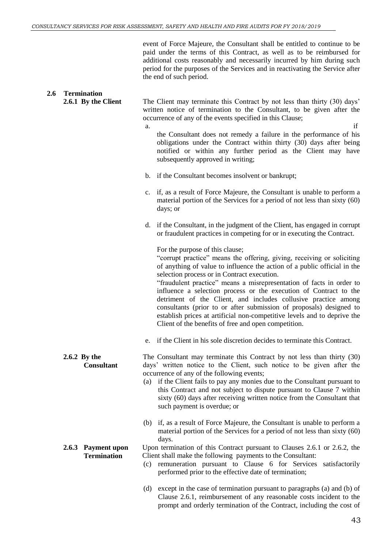**2.6.1 By the Client** The Client may terminate this Contract by not less than thirty (30) days'

occurrence of any of the events specified in this Clause;

**2.6 Termination**

event of Force Majeure, the Consultant shall be entitled to continue to be paid under the terms of this Contract, as well as to be reimbursed for additional costs reasonably and necessarily incurred by him during such period for the purposes of the Services and in reactivating the Service after the end of such period.

written notice of termination to the Consultant, to be given after the

|                                          | if<br>a.<br>the Consultant does not remedy a failure in the performance of his<br>obligations under the Contract within thirty (30) days after being<br>notified or within any further period as the Client may have<br>subsequently approved in writing;                                                                                                                                                                                                                                                                                                                                                                                                      |
|------------------------------------------|----------------------------------------------------------------------------------------------------------------------------------------------------------------------------------------------------------------------------------------------------------------------------------------------------------------------------------------------------------------------------------------------------------------------------------------------------------------------------------------------------------------------------------------------------------------------------------------------------------------------------------------------------------------|
|                                          | if the Consultant becomes insolvent or bankrupt;<br>b.                                                                                                                                                                                                                                                                                                                                                                                                                                                                                                                                                                                                         |
|                                          | if, as a result of Force Majeure, the Consultant is unable to perform a<br>c.<br>material portion of the Services for a period of not less than sixty (60)<br>days; or                                                                                                                                                                                                                                                                                                                                                                                                                                                                                         |
|                                          | if the Consultant, in the judgment of the Client, has engaged in corrupt<br>d.<br>or fraudulent practices in competing for or in executing the Contract.                                                                                                                                                                                                                                                                                                                                                                                                                                                                                                       |
|                                          | For the purpose of this clause;<br>"corrupt practice" means the offering, giving, receiving or soliciting<br>of anything of value to influence the action of a public official in the<br>selection process or in Contract execution.<br>"fraudulent practice" means a misrepresentation of facts in order to<br>influence a selection process or the execution of Contract to the<br>detriment of the Client, and includes collusive practice among<br>consultants (prior to or after submission of proposals) designed to<br>establish prices at artificial non-competitive levels and to deprive the<br>Client of the benefits of free and open competition. |
|                                          | if the Client in his sole discretion decides to terminate this Contract.<br>e.                                                                                                                                                                                                                                                                                                                                                                                                                                                                                                                                                                                 |
| 2.6.2 By the<br><b>Consultant</b>        | The Consultant may terminate this Contract by not less than thirty (30)<br>days' written notice to the Client, such notice to be given after the<br>occurrence of any of the following events;<br>(a) if the Client fails to pay any monies due to the Consultant pursuant to<br>this Contract and not subject to dispute pursuant to Clause 7 within<br>sixty (60) days after receiving written notice from the Consultant that<br>such payment is overdue; or                                                                                                                                                                                                |
|                                          | (b) if, as a result of Force Majeure, the Consultant is unable to perform a<br>material portion of the Services for a period of not less than sixty (60)<br>days.                                                                                                                                                                                                                                                                                                                                                                                                                                                                                              |
| 2.6.3 Payment upon<br><b>Termination</b> | Upon termination of this Contract pursuant to Clauses 2.6.1 or 2.6.2, the<br>Client shall make the following payments to the Consultant:<br>remuneration pursuant to Clause 6 for Services satisfactorily<br>(c)<br>performed prior to the effective date of termination;                                                                                                                                                                                                                                                                                                                                                                                      |
|                                          | except in the case of termination pursuant to paragraphs (a) and (b) of<br>(d)<br>Clause 2.6.1, reimbursement of any reasonable costs incident to the<br>prompt and orderly termination of the Contract, including the cost of                                                                                                                                                                                                                                                                                                                                                                                                                                 |
|                                          | 43                                                                                                                                                                                                                                                                                                                                                                                                                                                                                                                                                                                                                                                             |
|                                          |                                                                                                                                                                                                                                                                                                                                                                                                                                                                                                                                                                                                                                                                |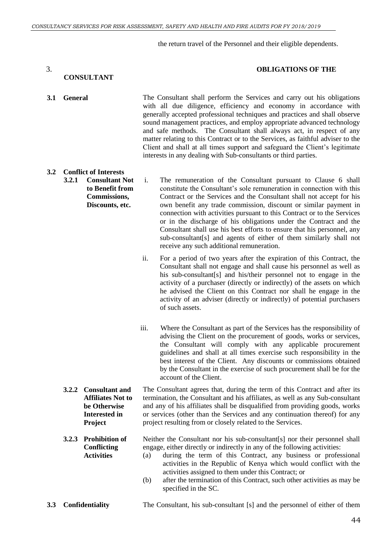the return travel of the Personnel and their eligible dependents.

#### 3. **OBLIGATIONS OF THE**

#### **CONSULTANT**

**3.1 General** The Consultant shall perform the Services and carry out his obligations with all due diligence, efficiency and economy in accordance with generally accepted professional techniques and practices and shall observe sound management practices, and employ appropriate advanced technology and safe methods. The Consultant shall always act, in respect of any matter relating to this Contract or to the Services, as faithful adviser to the Client and shall at all times support and safeguard the Client's legitimate interests in any dealing with Sub-consultants or third parties.

- **3.2 Conflict of Interests 3.2.1 Consultant Not** 
	- **to Benefit from Commissions, Discounts, etc.**

i. The remuneration of the Consultant pursuant to Clause 6 shall constitute the Consultant's sole remuneration in connection with this Contract or the Services and the Consultant shall not accept for his own benefit any trade commission, discount or similar payment in connection with activities pursuant to this Contract or to the Services or in the discharge of his obligations under the Contract and the Consultant shall use his best efforts to ensure that his personnel, any sub-consultant[s] and agents of either of them similarly shall not receive any such additional remuneration.

ii. For a period of two years after the expiration of this Contract, the Consultant shall not engage and shall cause his personnel as well as his sub-consultant [s] and his/their personnel not to engage in the activity of a purchaser (directly or indirectly) of the assets on which he advised the Client on this Contract nor shall he engage in the activity of an adviser (directly or indirectly) of potential purchasers of such assets.

- iii. Where the Consultant as part of the Services has the responsibility of advising the Client on the procurement of goods, works or services, the Consultant will comply with any applicable procurement guidelines and shall at all times exercise such responsibility in the best interest of the Client. Any discounts or commissions obtained by the Consultant in the exercise of such procurement shall be for the account of the Client.
- **3.2.2 Consultant and Affiliates Not to be Otherwise Interested in Project** The Consultant agrees that, during the term of this Contract and after its termination, the Consultant and his affiliates, as well as any Sub-consultant and any of his affiliates shall be disqualified from providing goods, works or services (other than the Services and any continuation thereof) for any project resulting from or closely related to the Services.

#### **3.2.3 Prohibition of Conflicting Activities** Neither the Consultant nor his sub-consultant[s] nor their personnel shall engage, either directly or indirectly in any of the following activities:

- (a) during the term of this Contract, any business or professional activities in the Republic of Kenya which would conflict with the activities assigned to them under this Contract; or
- (b) after the termination of this Contract, such other activities as may be specified in the SC.
- **3.3 Confidentiality** The Consultant, his sub-consultant [s] and the personnel of either of them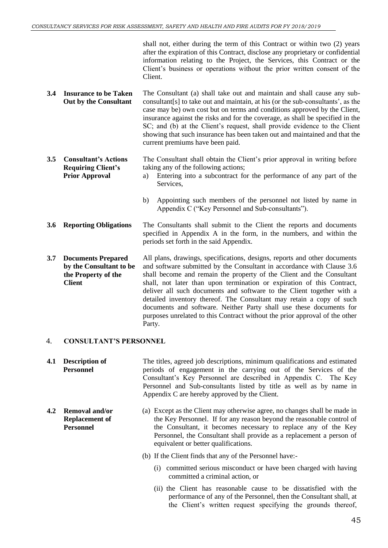shall not, either during the term of this Contract or within two (2) years after the expiration of this Contract, disclose any proprietary or confidential information relating to the Project, the Services, this Contract or the Client's business or operations without the prior written consent of the Client.

- **3.4 Insurance to be Taken Out by the Consultant** The Consultant (a) shall take out and maintain and shall cause any subconsultant[s] to take out and maintain, at his (or the sub-consultants', as the case may be) own cost but on terms and conditions approved by the Client, insurance against the risks and for the coverage, as shall be specified in the SC; and (b) at the Client's request, shall provide evidence to the Client showing that such insurance has been taken out and maintained and that the current premiums have been paid.
- **3.5 Consultant's Actions Requiring Client's Prior Approval** The Consultant shall obtain the Client's prior approval in writing before taking any of the following actions; a) Entering into a subcontract for the performance of any part of the Services,
	- b) Appointing such members of the personnel not listed by name in Appendix C ("Key Personnel and Sub-consultants").
- **3.6 Reporting Obligations** The Consultants shall submit to the Client the reports and documents specified in Appendix A in the form, in the numbers, and within the periods set forth in the said Appendix.
- **3.7 Documents Prepared by the Consultant to be the Property of the Client** All plans, drawings, specifications, designs, reports and other documents and software submitted by the Consultant in accordance with Clause 3.6 shall become and remain the property of the Client and the Consultant shall, not later than upon termination or expiration of this Contract, deliver all such documents and software to the Client together with a detailed inventory thereof. The Consultant may retain a copy of such documents and software. Neither Party shall use these documents for purposes unrelated to this Contract without the prior approval of the other Party.

#### 4. **CONSULTANT'S PERSONNEL**

**Personnel**

- **4.1 Description of Personnel** The titles, agreed job descriptions, minimum qualifications and estimated periods of engagement in the carrying out of the Services of the Consultant's Key Personnel are described in Appendix C. The Key Personnel and Sub-consultants listed by title as well as by name in Appendix C are hereby approved by the Client.
- **4.2 Removal and/or Replacement of**  (a) Except as the Client may otherwise agree, no changes shall be made in the Key Personnel. If for any reason beyond the reasonable control of the Consultant, it becomes necessary to replace any of the Key Personnel, the Consultant shall provide as a replacement a person of equivalent or better qualifications.
	- (b) If the Client finds that any of the Personnel have:-
		- (i) committed serious misconduct or have been charged with having committed a criminal action, or
		- (ii) the Client has reasonable cause to be dissatisfied with the performance of any of the Personnel, then the Consultant shall, at the Client's written request specifying the grounds thereof,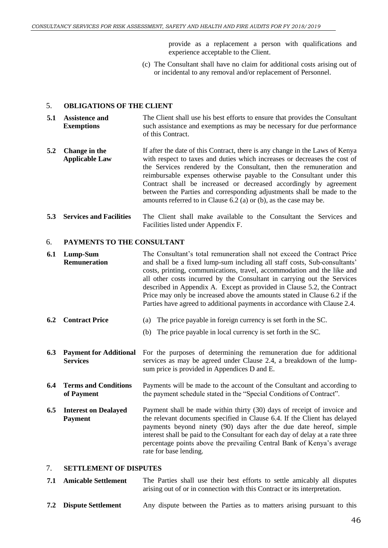provide as a replacement a person with qualifications and experience acceptable to the Client.

(c) The Consultant shall have no claim for additional costs arising out of or incidental to any removal and/or replacement of Personnel.

#### 5. **OBLIGATIONS OF THE CLIENT**

- **5.1 Assistence and Exemptions** The Client shall use his best efforts to ensure that provides the Consultant such assistance and exemptions as may be necessary for due performance of this Contract.
- **5.2 Change in the Applicable Law** If after the date of this Contract, there is any change in the Laws of Kenya with respect to taxes and duties which increases or decreases the cost of the Services rendered by the Consultant, then the remuneration and reimbursable expenses otherwise payable to the Consultant under this Contract shall be increased or decreased accordingly by agreement between the Parties and corresponding adjustments shall be made to the amounts referred to in Clause 6.2 (a) or (b), as the case may be.
- **5.3 Services and Facilities** The Client shall make available to the Consultant the Services and Facilities listed under Appendix F.

#### 6. **PAYMENTS TO THE CONSULTANT**

- **6.1 Lump-Sum Remuneration** The Consultant's total remuneration shall not exceed the Contract Price and shall be a fixed lump-sum including all staff costs, Sub-consultants' costs, printing, communications, travel, accommodation and the like and all other costs incurred by the Consultant in carrying out the Services described in Appendix A. Except as provided in Clause 5.2, the Contract Price may only be increased above the amounts stated in Clause 6.2 if the Parties have agreed to additional payments in accordance with Clause 2.4.
- **6.2 Contract Price** (a) The price payable in foreign currency is set forth in the SC.
	- (b) The price payable in local currency is set forth in the SC.
- **6.3 Payment for Additional Services** For the purposes of determining the remuneration due for additional services as may be agreed under Clause 2.4, a breakdown of the lumpsum price is provided in Appendices D and E.
- **6.4 Terms and Conditions of Payment** Payments will be made to the account of the Consultant and according to the payment schedule stated in the "Special Conditions of Contract".
- **6.5 Interest on Dealayed Payment** Payment shall be made within thirty (30) days of receipt of invoice and the relevant documents specified in Clause 6.4. If the Client has delayed payments beyond ninety (90) days after the due date hereof, simple interest shall be paid to the Consultant for each day of delay at a rate three percentage points above the prevailing Central Bank of Kenya's average rate for base lending.

#### 7. **SETTLEMENT OF DISPUTES**

- **7.1 Amicable Settlement** The Parties shall use their best efforts to settle amicably all disputes arising out of or in connection with this Contract or its interpretation.
- **7.2 Dispute Settlement** Any dispute between the Parties as to matters arising pursuant to this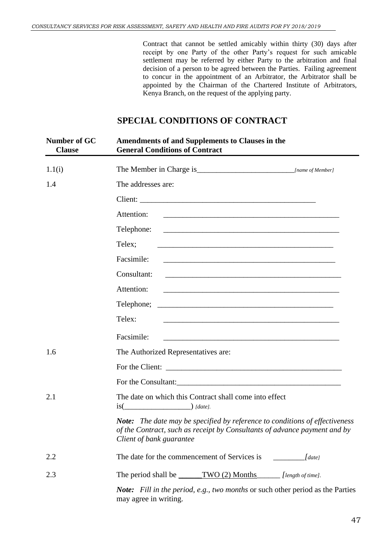Contract that cannot be settled amicably within thirty (30) days after receipt by one Party of the other Party's request for such amicable settlement may be referred by either Party to the arbitration and final decision of a person to be agreed between the Parties. Failing agreement to concur in the appointment of an Arbitrator, the Arbitrator shall be appointed by the Chairman of the Chartered Institute of Arbitrators, Kenya Branch, on the request of the applying party.

# **SPECIAL CONDITIONS OF CONTRACT**

| Number of GC<br><b>Clause</b> | <b>Amendments of and Supplements to Clauses in the</b><br><b>General Conditions of Contract</b>                                                                                             |
|-------------------------------|---------------------------------------------------------------------------------------------------------------------------------------------------------------------------------------------|
| 1.1(i)                        |                                                                                                                                                                                             |
| 1.4                           | The addresses are:                                                                                                                                                                          |
|                               |                                                                                                                                                                                             |
|                               | Attention:                                                                                                                                                                                  |
|                               | Telephone:                                                                                                                                                                                  |
|                               | Telex;<br>and the control of the control of the control of the control of the control of the control of the control of the                                                                  |
|                               | Facsimile:                                                                                                                                                                                  |
|                               | Consultant:<br><u> 1989 - Johann Stoff, amerikansk politiker (d. 1989)</u>                                                                                                                  |
|                               | Attention:<br><u> 1980 - Jan James James Barnett, fransk politik (d. 1980)</u>                                                                                                              |
|                               |                                                                                                                                                                                             |
|                               | Telex:                                                                                                                                                                                      |
|                               | Facsimile:                                                                                                                                                                                  |
| 1.6                           | The Authorized Representatives are:                                                                                                                                                         |
|                               |                                                                                                                                                                                             |
|                               |                                                                                                                                                                                             |
| 2.1                           | The date on which this Contract shall come into effect<br>$is(\underline{\hspace{2cm}})$ [date].                                                                                            |
|                               | <b>Note:</b> The date may be specified by reference to conditions of effectiveness<br>of the Contract, such as receipt by Consultants of advance payment and by<br>Client of bank guarantee |
| 2.2                           |                                                                                                                                                                                             |
| 2.3                           | The period shall be _______TWO (2) Months ________ [length of time].                                                                                                                        |
|                               | <b>Note:</b> Fill in the period, e.g., two months or such other period as the Parties<br>may agree in writing.                                                                              |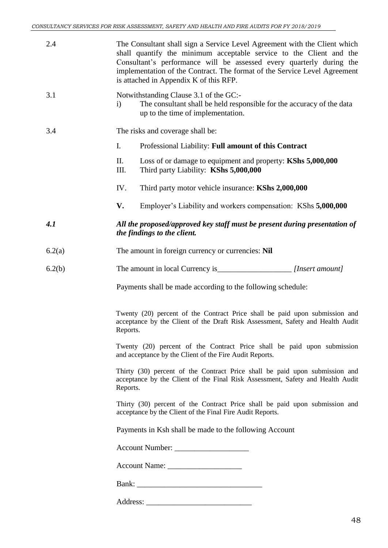| 2.4    | The Consultant shall sign a Service Level Agreement with the Client which<br>shall quantify the minimum acceptable service to the Client and the<br>Consultant's performance will be assessed every quarterly during the<br>implementation of the Contract. The format of the Service Level Agreement<br>is attached in Appendix K of this RFP. |  |
|--------|-------------------------------------------------------------------------------------------------------------------------------------------------------------------------------------------------------------------------------------------------------------------------------------------------------------------------------------------------|--|
| 3.1    | Notwithstanding Clause 3.1 of the GC:-<br>The consultant shall be held responsible for the accuracy of the data<br>$\mathbf{i}$<br>up to the time of implementation.                                                                                                                                                                            |  |
| 3.4    | The risks and coverage shall be:                                                                                                                                                                                                                                                                                                                |  |
|        | I.<br>Professional Liability: Full amount of this Contract                                                                                                                                                                                                                                                                                      |  |
|        | П.<br>Loss of or damage to equipment and property: KShs 5,000,000<br>III.<br>Third party Liability: KShs 5,000,000                                                                                                                                                                                                                              |  |
|        | IV.<br>Third party motor vehicle insurance: KShs 2,000,000                                                                                                                                                                                                                                                                                      |  |
|        | V.<br>Employer's Liability and workers compensation: KShs 5,000,000                                                                                                                                                                                                                                                                             |  |
| 4.1    | All the proposed/approved key staff must be present during presentation of<br>the findings to the client.                                                                                                                                                                                                                                       |  |
| 6.2(a) | The amount in foreign currency or currencies: Nil                                                                                                                                                                                                                                                                                               |  |
| 6.2(b) |                                                                                                                                                                                                                                                                                                                                                 |  |
|        | Payments shall be made according to the following schedule:                                                                                                                                                                                                                                                                                     |  |
|        | Twenty (20) percent of the Contract Price shall be paid upon submission and<br>acceptance by the Client of the Draft Risk Assessment, Safety and Health Audit<br>Reports.                                                                                                                                                                       |  |
|        | Twenty (20) percent of the Contract Price shall be paid upon submission<br>and acceptance by the Client of the Fire Audit Reports.                                                                                                                                                                                                              |  |
|        | Thirty (30) percent of the Contract Price shall be paid upon submission and<br>acceptance by the Client of the Final Risk Assessment, Safety and Health Audit<br>Reports.                                                                                                                                                                       |  |
|        | Thirty (30) percent of the Contract Price shall be paid upon submission and<br>acceptance by the Client of the Final Fire Audit Reports.                                                                                                                                                                                                        |  |
|        | Payments in Ksh shall be made to the following Account                                                                                                                                                                                                                                                                                          |  |
|        | Account Number:                                                                                                                                                                                                                                                                                                                                 |  |
|        |                                                                                                                                                                                                                                                                                                                                                 |  |
|        |                                                                                                                                                                                                                                                                                                                                                 |  |
|        |                                                                                                                                                                                                                                                                                                                                                 |  |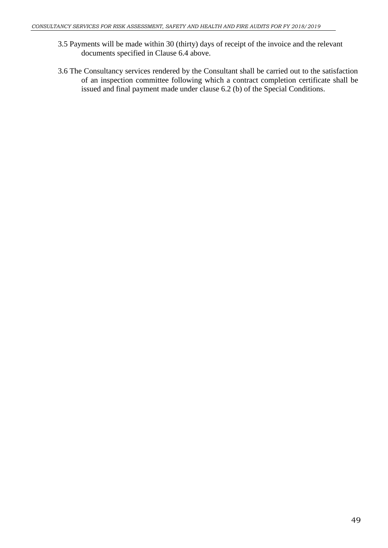- 3.5 Payments will be made within 30 (thirty) days of receipt of the invoice and the relevant documents specified in Clause 6.4 above.
- 3.6 The Consultancy services rendered by the Consultant shall be carried out to the satisfaction of an inspection committee following which a contract completion certificate shall be issued and final payment made under clause 6.2 (b) of the Special Conditions.